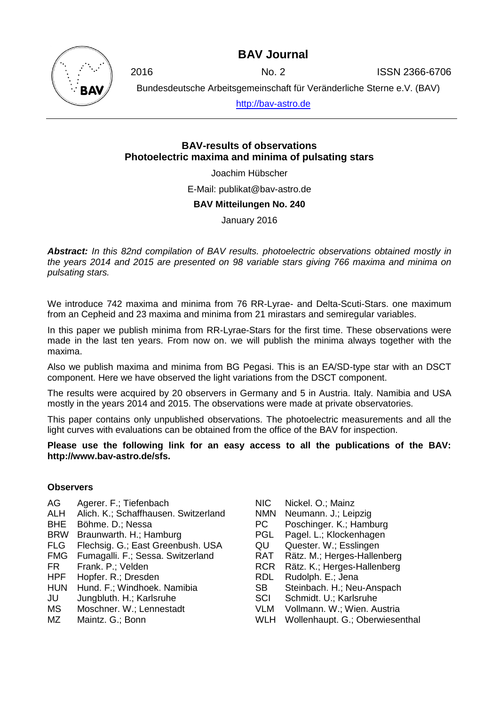### **BAV Journal**



2016 No. 2 ISSN 2366-6706

Bundesdeutsche Arbeitsgemeinschaft für Veränderliche Sterne e.V. (BAV)

[http://bav-astro.de](http://bav-astro.de/)

### **BAV-results of observations Photoelectric maxima and minima of pulsating stars**

Joachim Hübscher

E-Mail: publikat@bav-astro.de

#### **BAV Mitteilungen No. 240**

January 2016

*Abstract: In this 82nd compilation of BAV results. photoelectric observations obtained mostly in the years 2014 and 2015 are presented on 98 variable stars giving 766 maxima and minima on pulsating stars.*

We introduce 742 maxima and minima from 76 RR-Lyrae- and Delta-Scuti-Stars. one maximum from an Cepheid and 23 maxima and minima from 21 mirastars and semiregular variables.

In this paper we publish minima from RR-Lyrae-Stars for the first time. These observations were made in the last ten years. From now on. we will publish the minima always together with the maxima.

Also we publish maxima and minima from BG Pegasi. This is an EA/SD-type star with an DSCT component. Here we have observed the light variations from the DSCT component.

The results were acquired by 20 observers in Germany and 5 in Austria. Italy. Namibia and USA mostly in the years 2014 and 2015. The observations were made at private observatories.

This paper contains only unpublished observations. The photoelectric measurements and all the light curves with evaluations can be obtained from the office of the BAV for inspection.

#### **Please use the following link for an easy access to all the publications of the BAV: http://www.bav-astro.de/sfs.**

#### **Observers**

- AG Agerer. F.; Tiefenbach
- ALH Alich. K.; Schaffhausen. Switzerland
- BHE Böhme. D.; Nessa
- BRW Braunwarth. H.; Hamburg
- FLG Flechsig. G.; East Greenbush. USA
- FMG Fumagalli. F.; Sessa. Switzerland
- FR Frank. P.; Velden<br>HPF Hopfer. R.: Dresde
- Hopfer. R.: Dresden
- HUN Hund. F.; Windhoek. Namibia
- JU Jungbluth. H.; Karlsruhe
- MS Moschner. W.; Lennestadt
- MZ Maintz, G.: Bonn
- NIC Nickel. O.; Mainz
- NMN Neumann. J.; Leipzig
- PC Poschinger. K.; Hamburg
- PGL Pagel. L.; Klockenhagen
- QU Quester. W.; Esslingen
- RAT Rätz. M.; Herges-Hallenberg
- RCR Rätz. K.; Herges-Hallenberg
- RDL Rudolph. E.; Jena
- SB Steinbach. H.; Neu-Anspach
- SCI Schmidt. U.; Karlsruhe
- VLM Vollmann. W.; Wien. Austria
- WLH Wollenhaupt. G.; Oberwiesenthal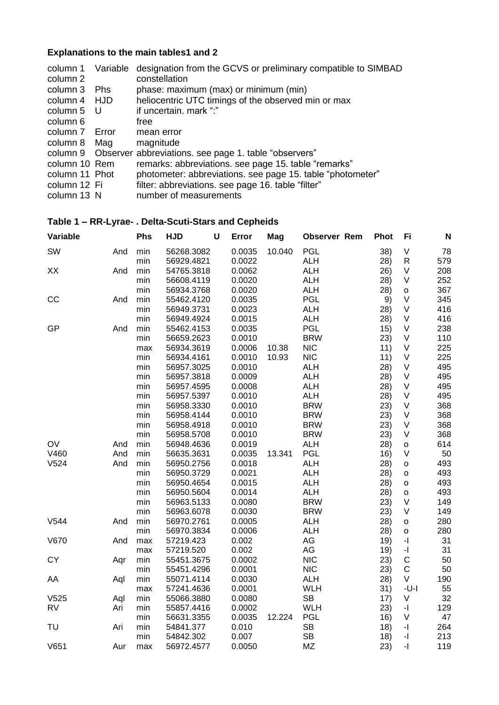# **Explanations to the main tables1 and 2**

| column 1<br>column 2 | Variable   | designation from the GCVS or preliminary compatible to SIMBAD<br>constellation |
|----------------------|------------|--------------------------------------------------------------------------------|
| column 3             | <b>Phs</b> | phase: maximum (max) or minimum (min)                                          |
| column 4             | HJD        | heliocentric UTC timings of the observed min or max                            |
| column 5             | - U        | if uncertain. mark ":"                                                         |
| column 6             |            | free                                                                           |
| column 7             | Error      | mean error                                                                     |
| column 8             | Mag        | magnitude                                                                      |
|                      |            | column 9 Observer abbreviations. see page 1. table "observers"                 |
| column 10 Rem        |            | remarks: abbreviations. see page 15. table "remarks"                           |
| column 11 Phot       |            | photometer: abbreviations. see page 15. table "photometer"                     |
| column 12 Fi         |            | filter: abbreviations. see page 16. table "filter"                             |
| column 13 N          |            | number of measurements                                                         |

| Variable  |     | Phs | <b>HJD</b> | $\mathbf U$ | Error  | Mag    | <b>Observer Rem</b> | <b>Phot</b> | Fi                       | N   |
|-----------|-----|-----|------------|-------------|--------|--------|---------------------|-------------|--------------------------|-----|
| SW        | And | min | 56268.3082 |             | 0.0035 | 10.040 | <b>PGL</b>          | 38)         | V                        | 78  |
|           |     | min | 56929.4821 |             | 0.0022 |        | <b>ALH</b>          | 28)         | ${\sf R}$                | 579 |
| XX        | And | min | 54765.3818 |             | 0.0062 |        | <b>ALH</b>          | 26)         | V                        | 208 |
|           |     | min | 56608.4119 |             | 0.0020 |        | <b>ALH</b>          | 28)         | V                        | 252 |
|           |     | min | 56934.3768 |             | 0.0020 |        | <b>ALH</b>          | 28)         | $\mathsf{o}\xspace$      | 367 |
| CC        | And | min | 55462.4120 |             | 0.0035 |        | <b>PGL</b>          | 9)          | V                        | 345 |
|           |     | min | 56949.3731 |             | 0.0023 |        | <b>ALH</b>          | 28)         | V                        | 416 |
|           |     | min | 56949.4924 |             | 0.0015 |        | <b>ALH</b>          | 28)         | V                        | 416 |
| GP        | And | min | 55462.4153 |             | 0.0035 |        | <b>PGL</b>          | 15)         | $\sf V$                  | 238 |
|           |     | min | 56659.2623 |             | 0.0010 |        | <b>BRW</b>          | 23)         | V                        | 110 |
|           |     | max | 56934.3619 |             | 0.0006 | 10.38  | <b>NIC</b>          | 11)         | V                        | 225 |
|           |     | min | 56934.4161 |             | 0.0010 | 10.93  | <b>NIC</b>          | 11)         | $\vee$                   | 225 |
|           |     | min | 56957.3025 |             | 0.0010 |        | <b>ALH</b>          | 28)         | V                        | 495 |
|           |     | min | 56957.3818 |             | 0.0009 |        | <b>ALH</b>          | 28)         | V                        | 495 |
|           |     | min | 56957.4595 |             | 0.0008 |        | <b>ALH</b>          | 28)         | V                        | 495 |
|           |     | min | 56957.5397 |             | 0.0010 |        | <b>ALH</b>          | 28)         | V                        | 495 |
|           |     | min | 56958.3330 |             | 0.0010 |        | <b>BRW</b>          | 23)         | V                        | 368 |
|           |     | min | 56958.4144 |             | 0.0010 |        | <b>BRW</b>          | 23)         | V                        | 368 |
|           |     | min | 56958.4918 |             | 0.0010 |        | <b>BRW</b>          | 23)         | $\vee$                   | 368 |
|           |     | min | 56958.5708 |             | 0.0010 |        | <b>BRW</b>          | 23)         | V                        | 368 |
| OV        | And | min | 56948.4636 |             | 0.0019 |        | <b>ALH</b>          | 28)         | o                        | 614 |
| V460      | And | min | 56635.3631 |             | 0.0035 | 13.341 | <b>PGL</b>          | 16)         | V                        | 50  |
| V524      | And | min | 56950.2756 |             | 0.0018 |        | <b>ALH</b>          | 28)         | $\circ$                  | 493 |
|           |     | min | 56950.3729 |             | 0.0021 |        | <b>ALH</b>          | 28)         | O                        | 493 |
|           |     | min | 56950.4654 |             | 0.0015 |        | <b>ALH</b>          | (28)        | o                        | 493 |
|           |     | min | 56950.5604 |             | 0.0014 |        | <b>ALH</b>          | 28)         | $\mathsf{o}\xspace$      | 493 |
|           |     | min | 56963.5133 |             | 0.0080 |        | <b>BRW</b>          | 23)         | $\vee$                   | 149 |
|           |     | min | 56963.6078 |             | 0.0030 |        | <b>BRW</b>          | 23)         | V                        | 149 |
| V544      | And | min | 56970.2761 |             | 0.0005 |        | <b>ALH</b>          | 28)         | o                        | 280 |
|           |     | min | 56970.3834 |             | 0.0006 |        | <b>ALH</b>          | 28)         | $\circ$                  | 280 |
| V670      | And | max | 57219.423  |             | 0.002  |        | AG                  | 19)         | $\overline{\phantom{a}}$ | 31  |
|           |     | max | 57219.520  |             | 0.002  |        | AG                  | 19)         | $\overline{\phantom{a}}$ | 31  |
| <b>CY</b> | Aqr | min | 55451.3675 |             | 0.0002 |        | <b>NIC</b>          | 23)         | $\mathsf C$              | 50  |
|           |     | min | 55451.4296 |             | 0.0001 |        | <b>NIC</b>          | 23)         | $\mathsf C$              | 50  |
| AA        | Aql | min | 55071.4114 |             | 0.0030 |        | <b>ALH</b>          | 28)         | V                        | 190 |
|           |     | max | 57241.4636 |             | 0.0001 |        | <b>WLH</b>          | 31)         | $-U-I$                   | 55  |
| V525      | Aql | min | 55066.3880 |             | 0.0080 |        | <b>SB</b>           | 17)         | V                        | 32  |
| <b>RV</b> | Ari | min | 55857.4416 |             | 0.0002 |        | <b>WLH</b>          | 23)         | $\overline{\phantom{a}}$ | 129 |
|           |     | min | 56631.3355 |             | 0.0035 | 12.224 | <b>PGL</b>          | 16)         | V                        | 47  |
| TU        | Ari | min | 54841.377  |             | 0.010  |        | <b>SB</b>           | 18)         | $\overline{\phantom{a}}$ | 264 |
|           |     | min | 54842.302  |             | 0.007  |        | <b>SB</b>           | 18)         | $\overline{\phantom{a}}$ | 213 |
| V651      | Aur | max | 56972.4577 |             | 0.0050 |        | <b>MZ</b>           | 23)         | $\overline{\phantom{a}}$ | 119 |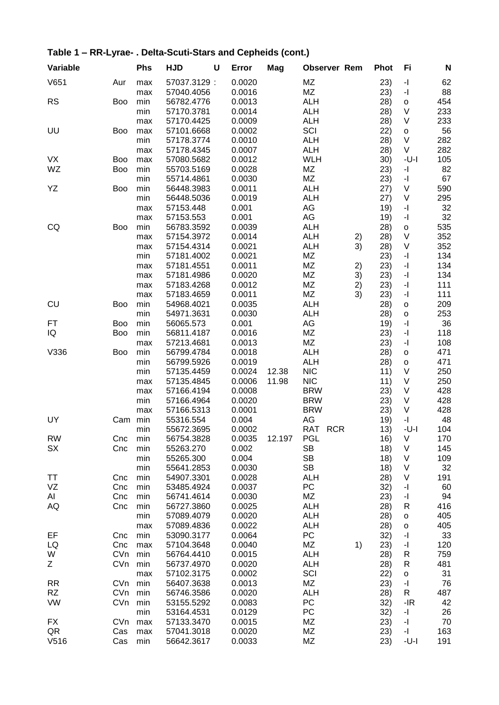| Variable  |            | Phs | <b>HJD</b>  | U | Error  | Mag    | <b>Observer Rem</b> |    | <b>Phot</b> | Fi                                          | N   |
|-----------|------------|-----|-------------|---|--------|--------|---------------------|----|-------------|---------------------------------------------|-----|
| V651      | Aur        | max | 57037.3129: |   | 0.0020 |        | MZ                  |    | 23)         | $\mathord{\text{-}} \mathord{\text{\rm l}}$ | 62  |
|           |            | max | 57040.4056  |   | 0.0016 |        | MZ                  |    | 23)         | $\mathord{\text{-}} \mathord{\text{\rm l}}$ | 88  |
| <b>RS</b> | <b>Boo</b> | min | 56782.4776  |   | 0.0013 |        | <b>ALH</b>          |    | 28)         | $\mathsf{o}\xspace$                         | 454 |
|           |            | min | 57170.3781  |   | 0.0014 |        | <b>ALH</b>          |    | 28)         | V                                           | 233 |
|           |            | max | 57170.4425  |   | 0.0009 |        | <b>ALH</b>          |    | 28)         | V                                           | 233 |
| UU        | <b>Boo</b> | max | 57101.6668  |   | 0.0002 |        | SCI                 |    | 22)         | o                                           | 56  |
|           |            | min | 57178.3774  |   | 0.0010 |        | <b>ALH</b>          |    | 28)         | $\vee$                                      | 282 |
|           |            | max | 57178.4345  |   | 0.0007 |        | <b>ALH</b>          |    | 28)         | V                                           | 282 |
| <b>VX</b> | <b>Boo</b> | max | 57080.5682  |   | 0.0012 |        | <b>WLH</b>          |    | 30)         | $-U-I$                                      | 105 |
| WZ        | <b>Boo</b> | min | 55703.5169  |   | 0.0028 |        | MZ                  |    | 23)         | $\mathbf{I}$                                | 82  |
|           |            | min | 55714.4861  |   | 0.0030 |        | MZ                  |    | 23)         | $\mathbf{I}$                                | 67  |
| YΖ        | <b>Boo</b> | min | 56448.3983  |   | 0.0011 |        | <b>ALH</b>          |    | 27)         | $\sf V$                                     | 590 |
|           |            | min | 56448.5036  |   | 0.0019 |        | <b>ALH</b>          |    | 27)         | V                                           | 295 |
|           |            | max | 57153.448   |   | 0.001  |        | AG                  |    | 19)         | $\mathbf{-} \Vert$                          | 32  |
|           |            | max | 57153.553   |   | 0.001  |        | AG                  |    | 19)         | $\mathbf{I}$                                | 32  |
| CQ        | <b>Boo</b> | min | 56783.3592  |   | 0.0039 |        | <b>ALH</b>          |    | 28)         | $\mathsf{o}\xspace$                         | 535 |
|           |            |     | 57154.3972  |   | 0.0014 |        | <b>ALH</b>          |    |             | V                                           | 352 |
|           |            | max |             |   |        |        |                     | 2) | 28)         |                                             |     |
|           |            | max | 57154.4314  |   | 0.0021 |        | <b>ALH</b>          | 3) | 28)         | $\sf V$                                     | 352 |
|           |            | min | 57181.4002  |   | 0.0021 |        | MZ                  |    | 23)         | $-1$                                        | 134 |
|           |            | max | 57181.4551  |   | 0.0011 |        | MZ                  | 2) | 23)         | $\mathbf{-}$                                | 134 |
|           |            | max | 57181.4986  |   | 0.0020 |        | ΜZ                  | 3) | 23)         | $\mathbf{I}$                                | 134 |
|           |            | max | 57183.4268  |   | 0.0012 |        | MZ                  | 2) | 23)         | $\mathbf{I}$                                | 111 |
|           |            | max | 57183.4659  |   | 0.0011 |        | MZ                  | 3) | 23)         | $\mathord{\text{-}} \mathord{\text{\rm l}}$ | 111 |
| <b>CU</b> | <b>Boo</b> | min | 54968.4021  |   | 0.0035 |        | <b>ALH</b>          |    | 28)         | $\circ$                                     | 209 |
|           |            | min | 54971.3631  |   | 0.0030 |        | <b>ALH</b>          |    | 28)         | $\circ$                                     | 253 |
| FT        | <b>Boo</b> | min | 56065.573   |   | 0.001  |        | AG                  |    | 19)         | $\mathbf{I}$                                | 36  |
| IQ        | <b>Boo</b> | min | 56811.4187  |   | 0.0016 |        | ΜZ                  |    | 23)         | $\mathord{\text{-}} \mathord{\text{\rm l}}$ | 118 |
|           |            | max | 57213.4681  |   | 0.0013 |        | MZ                  |    | 23)         | $\mathord{\text{-}} \mathord{\text{\rm l}}$ | 108 |
| V336      | <b>Boo</b> | min | 56799.4784  |   | 0.0018 |        | <b>ALH</b>          |    | 28)         | o                                           | 471 |
|           |            | min | 56799.5926  |   | 0.0019 |        | <b>ALH</b>          |    | 28)         | o                                           | 471 |
|           |            | min | 57135.4459  |   | 0.0024 | 12.38  | <b>NIC</b>          |    | 11)         | V                                           | 250 |
|           |            | max | 57135.4845  |   | 0.0006 | 11.98  | <b>NIC</b>          |    | 11)         | $\sf V$                                     | 250 |
|           |            | max | 57166.4194  |   | 0.0008 |        | <b>BRW</b>          |    | 23)         | $\sf V$                                     | 428 |
|           |            | min | 57166.4964  |   | 0.0020 |        | <b>BRW</b>          |    | 23)         | $\vee$                                      | 428 |
|           |            | max | 57166.5313  |   | 0.0001 |        | <b>BRW</b>          |    | 23)         | V                                           | 428 |
| UY        | Cam        | min | 55316.554   |   | 0.004  |        | AG                  |    | 19)         | $\mathbf{I}$                                | 48  |
|           |            | min | 55672.3695  |   | 0.0002 |        | RAT RCR             |    | 13)         | $-U-I$                                      | 104 |
| <b>RW</b> | Cnc        | min | 56754.3828  |   | 0.0035 | 12.197 | <b>PGL</b>          |    | 16)         | V                                           | 170 |
| SX        | Cnc        | min | 55263.270   |   | 0.002  |        | <b>SB</b>           |    |             | V                                           | 145 |
|           |            |     |             |   |        |        | <b>SB</b>           |    | 18)         |                                             |     |
|           |            | min | 55265.300   |   | 0.004  |        |                     |    | 18)         | V                                           | 109 |
|           |            | min | 55641.2853  |   | 0.0030 |        | <b>SB</b>           |    | 18)         | V                                           | 32  |
| ТT        | Cnc        | min | 54907.3301  |   | 0.0028 |        | <b>ALH</b>          |    | 28)         | $\sf V$                                     | 191 |
| VZ        | Cnc        | min | 53485.4924  |   | 0.0037 |        | PC                  |    | 32)         | $\mathord{\text{-}} \mathord{\text{\rm l}}$ | 60  |
| Al        | Cnc        | min | 56741.4614  |   | 0.0030 |        | MZ                  |    | 23)         | $\mathord{\text{-}} \mathord{\text{\rm l}}$ | 94  |
| AQ        | Cnc        | min | 56727.3860  |   | 0.0025 |        | <b>ALH</b>          |    | 28)         | R                                           | 416 |
|           |            | min | 57089.4079  |   | 0.0020 |        | <b>ALH</b>          |    | 28)         | $\mathsf{o}$                                | 405 |
|           |            | max | 57089.4836  |   | 0.0022 |        | <b>ALH</b>          |    | 28)         | $\mathsf{o}$                                | 405 |
| EF        | Cnc        | min | 53090.3177  |   | 0.0064 |        | PC                  |    | 32)         | -1                                          | 33  |
| LQ        | Cnc        | max | 57104.3648  |   | 0.0040 |        | ΜZ                  | 1) | 23)         | -1                                          | 120 |
| W         | CVn        | min | 56764.4410  |   | 0.0015 |        | <b>ALH</b>          |    | 28)         | R                                           | 759 |
| Ζ         | CVn        | min | 56737.4970  |   | 0.0020 |        | <b>ALH</b>          |    | 28)         | R                                           | 481 |
|           |            | max | 57102.3175  |   | 0.0002 |        | SCI                 |    | 22)         | $\mathsf{o}$                                | 31  |
| <b>RR</b> | CVn        | min | 56407.3638  |   | 0.0013 |        | MZ                  |    | 23)         | $\mathord{\text{-}} \mathord{\text{\rm l}}$ | 76  |
| RZ        | CVn        | min | 56746.3586  |   | 0.0020 |        | <b>ALH</b>          |    | 28)         | R                                           | 487 |
| VW        | CVn        | min | 53155.5292  |   | 0.0083 |        | PC                  |    | 32)         | $-IR$                                       | 42  |
|           |            | min | 53164.4531  |   | 0.0129 |        | PC                  |    | 32)         | $-1$                                        | 26  |
| FX        | CVn        | max | 57133.3470  |   | 0.0015 |        | MZ                  |    | 23)         | $\mathord{\text{-}} \mathord{\text{\rm l}}$ | 70  |
| QR        | Cas        | max | 57041.3018  |   | 0.0020 |        | ΜZ                  |    | 23)         | $\mathord{\text{-}} \mathord{\text{\rm l}}$ | 163 |
| V516      | Cas        | min | 56642.3617  |   | 0.0033 |        | MZ                  |    | 23)         | -U-I                                        | 191 |
|           |            |     |             |   |        |        |                     |    |             |                                             |     |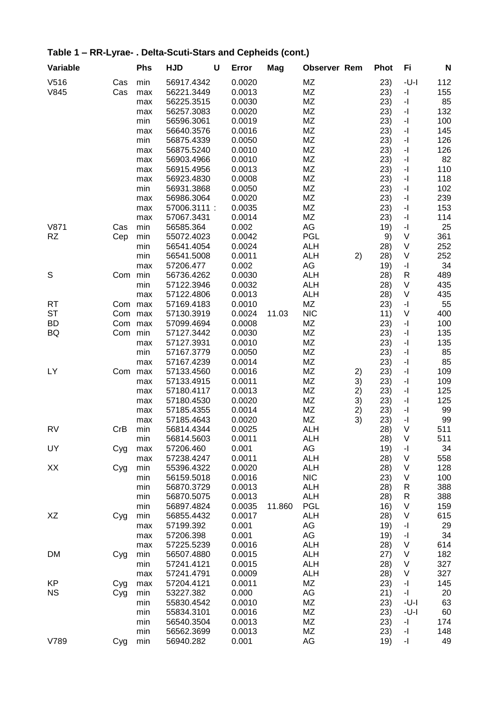| Variable  |     | <b>Phs</b> | <b>HJD</b>   | U | Error  | Mag    | <b>Observer Rem</b> |    | <b>Phot</b> | Fi                                          | N   |
|-----------|-----|------------|--------------|---|--------|--------|---------------------|----|-------------|---------------------------------------------|-----|
| V516      | Cas | min        | 56917.4342   |   | 0.0020 |        | MZ                  |    | 23)         | $-U-I$                                      | 112 |
| V845      | Cas | max        | 56221.3449   |   | 0.0013 |        | ΜZ                  |    | 23)         | $\overline{\phantom{a}}$                    | 155 |
|           |     | max        | 56225.3515   |   | 0.0030 |        | <b>MZ</b>           |    | 23)         | $\mathbf{-} \mathbf{I}$                     | 85  |
|           |     | max        | 56257.3083   |   | 0.0020 |        | <b>MZ</b>           |    | 23)         | $\mathbf{-} \mathbf{I}$                     | 132 |
|           |     | min        | 56596.3061   |   | 0.0019 |        | MZ                  |    | 23)         | $\mathbf{-} \mathbf{I}$                     | 100 |
|           |     | max        | 56640.3576   |   | 0.0016 |        | MZ                  |    | 23)         | $\overline{\phantom{a}}$                    | 145 |
|           |     | min        | 56875.4339   |   | 0.0050 |        | MZ                  |    | 23)         | $\overline{\phantom{a}}$                    | 126 |
|           |     | max        | 56875.5240   |   | 0.0010 |        | ΜZ                  |    | 23)         | $\mathbf{-} \mathbf{I}$                     | 126 |
|           |     | max        | 56903.4966   |   | 0.0010 |        | MZ                  |    | 23)         | $\mathbf{-} \mathbf{I}$                     | 82  |
|           |     | max        | 56915.4956   |   | 0.0013 |        | <b>MZ</b>           |    | 23)         | $\mathbf{-} \Vert$                          | 110 |
|           |     | max        | 56923.4830   |   | 0.0008 |        | ΜZ                  |    | 23)         | $\mathbf{-} \Vert$                          | 118 |
|           |     | min        | 56931.3868   |   | 0.0050 |        | ΜZ                  |    | 23)         | $\mathbf{-} \Vert$                          | 102 |
|           |     | max        | 56986.3064   |   | 0.0020 |        | MZ                  |    | 23)         | $\mathbf{-} \Vert$                          | 239 |
|           |     | max        | 57006.3111 : |   | 0.0035 |        | ΜZ                  |    | 23)         | $\mathbf{-} \Vert$                          | 153 |
|           |     | max        | 57067.3431   |   | 0.0014 |        | ΜZ                  |    | 23)         | $\mathbf{-} \Vert$                          | 114 |
| V871      | Cas | min        | 56585.364    |   | 0.002  |        | AG                  |    | 19)         | $\mathbf{-} \Vert$                          | 25  |
| RZ        | Cep | min        | 55072.4023   |   | 0.0042 |        | PGL                 |    | 9)          | V                                           | 361 |
|           |     | min        | 56541.4054   |   | 0.0024 |        | <b>ALH</b>          |    | 28)         | V                                           | 252 |
|           |     | min        | 56541.5008   |   | 0.0011 |        | <b>ALH</b>          | 2) | 28)         | $\sf V$                                     | 252 |
|           |     | max        | 57206.477    |   | 0.002  |        | AG                  |    | 19)         | $\mathord{\text{-}} \mathord{\text{\rm l}}$ | 34  |
| S         | Com | min        | 56736.4262   |   | 0.0030 |        | <b>ALH</b>          |    | 28)         | $\mathsf{R}$                                | 489 |
|           |     | min        | 57122.3946   |   | 0.0032 |        | <b>ALH</b>          |    | 28)         | $\sf V$                                     | 435 |
|           |     | max        | 57122.4806   |   | 0.0013 |        | <b>ALH</b>          |    | 28)         | V                                           | 435 |
| <b>RT</b> | Com | max        | 57169.4183   |   | 0.0010 |        | ΜZ                  |    | 23)         | -1                                          | 55  |
| <b>ST</b> | Com | max        | 57130.3919   |   | 0.0024 | 11.03  | <b>NIC</b>          |    | 11)         | V                                           | 400 |
| <b>BD</b> | Com | max        | 57099.4694   |   | 0.0008 |        | ΜZ                  |    | 23)         | $\mathbf{-} \Vert$                          | 100 |
| BQ        | Com | min        | 57127.3442   |   | 0.0030 |        | MZ                  |    | 23)         | $\mathbf{-} \Vert$                          | 135 |
|           |     | max        | 57127.3931   |   | 0.0010 |        | <b>MZ</b>           |    | 23)         | $\mathbf{-} \Vert$                          | 135 |
|           |     | min        | 57167.3779   |   | 0.0050 |        | <b>MZ</b>           |    | 23)         | $\mathbf{-} \Vert$                          | 85  |
|           |     | max        | 57167.4239   |   | 0.0014 |        | MZ                  |    | 23)         | $\mathbf{-} \Vert$                          | 85  |
| LY        | Com | max        | 57133.4560   |   | 0.0016 |        | MZ                  | 2) | 23)         | $\mathbf{-} \Vert$                          | 109 |
|           |     | max        | 57133.4915   |   | 0.0011 |        | ΜZ                  | 3) | 23)         | $\mathbf{-} \Vert$                          | 109 |
|           |     | max        | 57180.4117   |   | 0.0013 |        | MZ                  | 2) | 23)         | $\mathord{\text{-}} \mathord{\text{\rm l}}$ | 125 |
|           |     | max        | 57180.4530   |   | 0.0020 |        | <b>MZ</b>           | 3) | 23)         | $\overline{\phantom{a}}$                    | 125 |
|           |     | max        | 57185.4355   |   | 0.0014 |        | ΜZ                  | 2) | 23)         | $\mathbf{-} \Vert$                          | 99  |
|           |     | max        | 57185.4643   |   | 0.0020 |        | ΜZ                  | 3) | 23)         | -1                                          | 99  |
| <b>RV</b> | CrB | min        | 56814.4344   |   | 0.0025 |        | ALH                 |    | 28)         | V                                           | 511 |
|           |     | min        | 56814.5603   |   | 0.0011 |        | ALH                 |    | 28)         | V                                           | 511 |
| UY        | Cyg | max        | 57206.460    |   | 0.001  |        | AG                  |    | 19)         | -1                                          | 34  |
|           |     | max        | 57238.4247   |   | 0.0011 |        | <b>ALH</b>          |    | 28)         | V                                           | 558 |
| XX        |     | min        | 55396.4322   |   | 0.0020 |        | <b>ALH</b>          |    | 28)         | V                                           | 128 |
|           | Cyg | min        | 56159.5018   |   | 0.0016 |        | <b>NIC</b>          |    | 23)         | V                                           | 100 |
|           |     | min        | 56870.3729   |   | 0.0013 |        | <b>ALH</b>          |    | 28)         | R                                           | 388 |
|           |     | min        | 56870.5075   |   | 0.0013 |        | <b>ALH</b>          |    | 28)         | R                                           | 388 |
|           |     | min        | 56897.4824   |   | 0.0035 | 11.860 | <b>PGL</b>          |    | 16)         | V                                           | 159 |
| XZ        |     | min        | 56855.4432   |   | 0.0017 |        | <b>ALH</b>          |    | 28)         | V                                           | 615 |
|           | Cyg |            | 57199.392    |   | 0.001  |        | AG                  |    |             | -1                                          | 29  |
|           |     | max        | 57206.398    |   | 0.001  |        | AG                  |    | 19)<br>19)  | -1                                          | 34  |
|           |     | max        | 57225.5239   |   |        |        |                     |    |             |                                             |     |
|           |     | max        |              |   | 0.0016 |        | <b>ALH</b>          |    | 28)         | V                                           | 614 |
| DM        | Cyg | min        | 56507.4880   |   | 0.0015 |        | <b>ALH</b>          |    | (27)        | V                                           | 182 |
|           |     | min        | 57241.4121   |   | 0.0015 |        | <b>ALH</b>          |    | 28)         | V                                           | 327 |
|           |     | max        | 57241.4791   |   | 0.0009 |        | <b>ALH</b>          |    | 28)         | V                                           | 327 |
| KP        | Cyg | max        | 57204.4121   |   | 0.0011 |        | MZ                  |    | 23)         | $\mathord{\text{-}} \mathord{\text{\rm l}}$ | 145 |
| <b>NS</b> | Cyg | min        | 53227.382    |   | 0.000  |        | AG                  |    | 21)         | -1                                          | 20  |
|           |     | min        | 55830.4542   |   | 0.0010 |        | MZ                  |    | 23)         | -U-I                                        | 63  |
|           |     | min        | 55834.3101   |   | 0.0016 |        | MZ                  |    | 23)         | $-U-I$                                      | 60  |
|           |     | min        | 56540.3504   |   | 0.0013 |        | MZ                  |    | 23)         | -1                                          | 174 |
|           |     | min        | 56562.3699   |   | 0.0013 |        | MZ                  |    | 23)         | -1                                          | 148 |
| V789      | Cyg | min        | 56940.282    |   | 0.001  |        | AG                  |    | 19)         | -1                                          | 49  |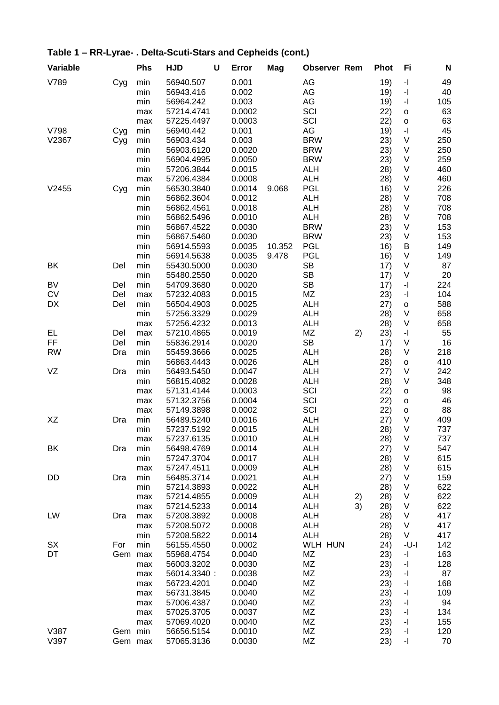| Variable  |         | <b>Phs</b> | <b>HJD</b>               | U | Error  | Mag    | <b>Observer Rem</b>      |    | <b>Phot</b> | Fi                                          | N          |
|-----------|---------|------------|--------------------------|---|--------|--------|--------------------------|----|-------------|---------------------------------------------|------------|
| V789      | Cyg     | min        | 56940.507                |   | 0.001  |        | AG                       |    | 19)         | $\overline{\phantom{a}}$                    | 49         |
|           |         | min        | 56943.416                |   | 0.002  |        | AG                       |    | 19)         | $\mathbf{I}$                                | 40         |
|           |         | min        | 56964.242                |   | 0.003  |        | AG                       |    | 19)         | $\mathbf{I}$                                | 105        |
|           |         | max        | 57214.4741               |   | 0.0002 |        | SCI                      |    | 22)         | $\mathsf{o}$                                | 63         |
|           |         | max        | 57225.4497               |   | 0.0003 |        | SCI                      |    | 22)         | $\mathsf{o}\xspace$                         | 63         |
| V798      | Cyg     | min        | 56940.442                |   | 0.001  |        | AG                       |    | 19)         | $\overline{\phantom{a}}$                    | 45         |
| V2367     | Cyg     | min        | 56903.434                |   | 0.003  |        | <b>BRW</b>               |    | 23)         | V                                           | 250        |
|           |         | min        | 56903.6120               |   | 0.0020 |        | <b>BRW</b>               |    | 23)         | $\vee$                                      | 250        |
|           |         | min        | 56904.4995               |   | 0.0050 |        | <b>BRW</b>               |    | 23)         | $\vee$                                      | 259        |
|           |         | min        | 57206.3844               |   | 0.0015 |        | <b>ALH</b>               |    | 28)         | $\vee$                                      | 460        |
|           |         | max        | 57206.4384               |   | 0.0008 |        | <b>ALH</b>               |    | 28)         | $\vee$                                      | 460        |
| V2455     | Cyg     | min        | 56530.3840               |   | 0.0014 | 9.068  | PGL                      |    | 16)         | $\vee$                                      | 226        |
|           |         | min        | 56862.3604               |   | 0.0012 |        | <b>ALH</b>               |    | 28)         | $\vee$                                      | 708        |
|           |         | min        | 56862.4561               |   | 0.0018 |        | <b>ALH</b>               |    | 28)         | $\vee$                                      | 708        |
|           |         | min        | 56862.5496               |   | 0.0010 |        | <b>ALH</b>               |    | 28)         | $\vee$                                      | 708        |
|           |         | min        | 56867.4522               |   | 0.0030 |        | <b>BRW</b>               |    | 23)         | $\vee$                                      | 153        |
|           |         | min        | 56867.5460               |   | 0.0030 |        | <b>BRW</b>               |    | 23)         | V                                           | 153        |
|           |         | min        | 56914.5593               |   | 0.0035 | 10.352 | <b>PGL</b>               |    | 16)         | B                                           | 149        |
|           |         | min        | 56914.5638               |   | 0.0035 | 9.478  | <b>PGL</b>               |    | 16)         | V                                           | 149        |
| BK        | Del     | min        | 55430.5000               |   | 0.0030 |        | <b>SB</b>                |    | 17)         | V                                           | 87         |
|           |         | min        | 55480.2550               |   | 0.0020 |        | <b>SB</b>                |    | 17)         | $\vee$                                      | 20         |
| <b>BV</b> | Del     | min        | 54709.3680               |   | 0.0020 |        | <b>SB</b>                |    | 17)         | $\overline{\phantom{a}}$                    | 224        |
| <b>CV</b> | Del     | max        | 57232.4083               |   | 0.0015 |        | MZ                       |    | 23)         | $\mathord{\text{-}} \mathord{\text{\rm l}}$ | 104        |
| DX        | Del     | min        | 56504.4903               |   | 0.0025 |        | <b>ALH</b>               |    | 27)         | $\mathsf{o}$                                | 588        |
|           |         | min        | 57256.3329               |   | 0.0029 |        | <b>ALH</b>               |    | 28)         | $\vee$                                      | 658        |
|           |         | max        | 57256.4232               |   | 0.0013 |        | <b>ALH</b>               |    | 28)         | $\vee$                                      | 658        |
| EL        | Del     | max        | 57210.4865               |   | 0.0019 |        | MZ                       | 2) | 23)         | $\mathbf{E}$                                | 55         |
| FF        | Del     | min        | 55836.2914               |   | 0.0020 |        | <b>SB</b>                |    | 17)         | V                                           | 16         |
| <b>RW</b> | Dra     | min        | 55459.3666               |   | 0.0025 |        | <b>ALH</b>               |    | 28)         | $\vee$                                      | 218        |
|           |         | min        | 56863.4443               |   | 0.0026 |        | <b>ALH</b>               |    | 28)         | o                                           | 410        |
| VZ        | Dra     | min        | 56493.5450               |   | 0.0047 |        | <b>ALH</b>               |    | (27)        | V                                           | 242        |
|           |         | min        | 56815.4082               |   | 0.0028 |        | <b>ALH</b>               |    | 28)         | $\vee$                                      | 348        |
|           |         | max        | 57131.4144               |   | 0.0003 |        | SCI                      |    | 22)         | $\mathsf{o}\xspace$                         | 98         |
|           |         |            | 57132.3756               |   | 0.0004 |        | SCI                      |    | 22)         | $\mathsf{o}\xspace$                         | 46         |
|           |         | max        | 57149.3898               |   | 0.0002 |        | SCI                      |    | 22)         | $\mathsf{o}\xspace$                         | 88         |
| XZ        | Dra     | max<br>min | 56489.5240               |   | 0.0016 |        | <b>ALH</b>               |    | 27)         | $\vee$                                      | 409        |
|           |         |            | 57237.5192               |   | 0.0015 |        | <b>ALH</b>               |    |             | $\vee$                                      | 737        |
|           |         | min        | 57237.6135               |   | 0.0010 |        | <b>ALH</b>               |    | 28)<br>28)  | $\vee$                                      | 737        |
| BK        | Dra     | max<br>min | 56498.4769               |   | 0.0014 |        | <b>ALH</b>               |    |             | V                                           | 547        |
|           |         |            |                          |   |        |        |                          |    | 27)         | V                                           |            |
|           |         | min        | 57247.3704<br>57247.4511 |   | 0.0017 |        | <b>ALH</b>               |    | 28)         | V                                           | 615        |
| DD        |         | max        | 56485.3714               |   | 0.0009 |        | <b>ALH</b><br><b>ALH</b> |    | 28)         | V                                           | 615<br>159 |
|           | Dra     | min        | 57214.3893               |   | 0.0021 |        | <b>ALH</b>               |    | 27)         | V                                           |            |
|           |         | min        |                          |   | 0.0022 |        |                          |    | 28)         | V                                           | 622        |
|           |         | max        | 57214.4855               |   | 0.0009 |        | <b>ALH</b><br><b>ALH</b> | 2) | 28)         |                                             | 622        |
|           |         | max        | 57214.5233               |   | 0.0014 |        |                          | 3) | 28)         | $\vee$                                      | 622        |
| LW        | Dra     | max        | 57208.3892               |   | 0.0008 |        | <b>ALH</b>               |    | 28)         | $\vee$                                      | 417        |
|           |         | max        | 57208.5072               |   | 0.0008 |        | <b>ALH</b>               |    | 28)         | $\vee$                                      | 417        |
|           |         | min        | 57208.5822               |   | 0.0014 |        | <b>ALH</b>               |    | 28)         | V                                           | 417        |
| SX        | For     | min        | 56155.4550               |   | 0.0002 |        | <b>WLH HUN</b>           |    | 24)         | -U-I                                        | 142        |
| DT        | Gem     | max        | 55968.4754               |   | 0.0040 |        | ΜZ                       |    | 23)         | $\mathbf{I}$                                | 163        |
|           |         | max        | 56003.3202               |   | 0.0030 |        | ΜZ                       |    | 23)         | $\mathbf{-}$                                | 128        |
|           |         | max        | 56014.3340:              |   | 0.0038 |        | ΜZ                       |    | 23)         | $\overline{\phantom{a}}$                    | 87         |
|           |         | max        | 56723.4201               |   | 0.0040 |        | ΜZ                       |    | 23)         | $\mathbf{-}$                                | 168        |
|           |         | max        | 56731.3845               |   | 0.0040 |        | ΜZ                       |    | 23)         | $\mathbf{-}$                                | 109        |
|           |         | max        | 57006.4387               |   | 0.0040 |        | MZ                       |    | 23)         | $\mathord{\text{-}} \mathord{\text{\rm l}}$ | 94         |
|           |         | max        | 57025.3705               |   | 0.0037 |        | MZ                       |    | 23)         | $\mathbf{I}$                                | 134        |
|           |         | max        | 57069.4020               |   | 0.0040 |        | ΜZ                       |    | 23)         | $\mathbf{I}$                                | 155        |
| V387      | Gem min |            | 56656.5154               |   | 0.0010 |        | MZ                       |    | 23)         | $\mathord{\text{-}} \mathord{\text{\rm l}}$ | 120        |
| V397      | Gem max |            | 57065.3136               |   | 0.0030 |        | MZ                       |    | 23)         | $\mathbf{-} \mathbf{I}$                     | 70         |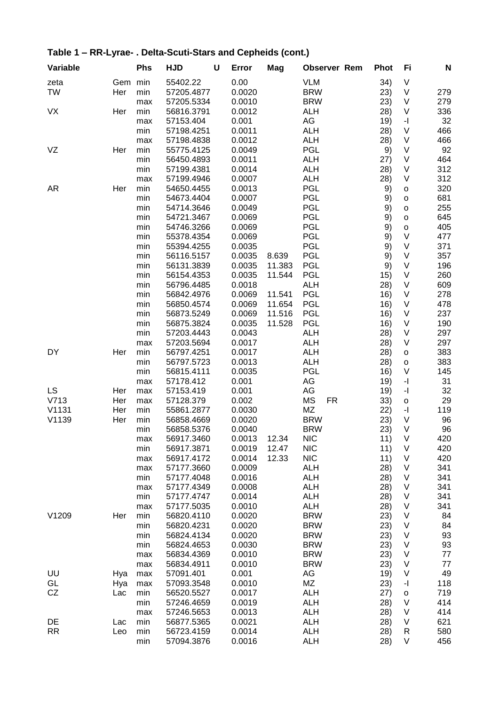| Variable  |     | <b>Phs</b> | <b>HJD</b> | U | Error  | Mag    | <b>Observer Rem</b>    | <b>Phot</b> | Fi                                          | N   |
|-----------|-----|------------|------------|---|--------|--------|------------------------|-------------|---------------------------------------------|-----|
| zeta      | Gem | min        | 55402.22   |   | 0.00   |        | <b>VLM</b>             | 34)         | V                                           |     |
| <b>TW</b> | Her | min        | 57205.4877 |   | 0.0020 |        | <b>BRW</b>             | 23)         | V                                           | 279 |
|           |     | max        | 57205.5334 |   | 0.0010 |        | <b>BRW</b>             | 23)         | $\sf V$                                     | 279 |
| VX        | Her | min        | 56816.3791 |   | 0.0012 |        | <b>ALH</b>             | 28)         | V                                           | 336 |
|           |     | max        | 57153.404  |   | 0.001  |        | AG                     | 19)         | -1                                          | 32  |
|           |     | min        | 57198.4251 |   | 0.0011 |        | <b>ALH</b>             | 28)         | V                                           | 466 |
|           |     | max        | 57198.4838 |   | 0.0012 |        | <b>ALH</b>             | 28)         | $\sf V$                                     | 466 |
| VZ        | Her | min        | 55775.4125 |   | 0.0049 |        | <b>PGL</b>             | 9)          | V                                           | 92  |
|           |     | min        | 56450.4893 |   | 0.0011 |        | <b>ALH</b>             | (27)        | $\sf V$                                     | 464 |
|           |     | min        | 57199.4381 |   | 0.0014 |        | <b>ALH</b>             | 28)         | $\sf V$                                     | 312 |
|           |     | max        | 57199.4946 |   | 0.0007 |        | <b>ALH</b>             | 28)         | $\vee$                                      | 312 |
|           |     | min        | 54650.4455 |   |        |        | <b>PGL</b>             |             |                                             | 320 |
| <b>AR</b> | Her |            |            |   | 0.0013 |        |                        | 9)          | $\mathsf{o}$                                |     |
|           |     | min        | 54673.4404 |   | 0.0007 |        | <b>PGL</b>             | 9)          | $\mathsf{o}$                                | 681 |
|           |     | min        | 54714.3646 |   | 0.0049 |        | PGL                    | 9)          | $\mathsf{o}$                                | 255 |
|           |     | min        | 54721.3467 |   | 0.0069 |        | <b>PGL</b>             | 9)          | $\circ$                                     | 645 |
|           |     | min        | 54746.3266 |   | 0.0069 |        | <b>PGL</b>             | 9)          | $\mathsf{o}$                                | 405 |
|           |     | min        | 55378.4354 |   | 0.0069 |        | <b>PGL</b>             | 9)          | $\vee$                                      | 477 |
|           |     | min        | 55394.4255 |   | 0.0035 |        | <b>PGL</b>             | 9)          | $\vee$                                      | 371 |
|           |     | min        | 56116.5157 |   | 0.0035 | 8.639  | <b>PGL</b>             | 9)          | $\vee$                                      | 357 |
|           |     | min        | 56131.3839 |   | 0.0035 | 11.383 | <b>PGL</b>             | 9)          | $\vee$                                      | 196 |
|           |     | min        | 56154.4353 |   | 0.0035 | 11.544 | <b>PGL</b>             | 15)         | $\vee$                                      | 260 |
|           |     | min        | 56796.4485 |   | 0.0018 |        | <b>ALH</b>             | 28)         | $\sf V$                                     | 609 |
|           |     | min        | 56842.4976 |   | 0.0069 | 11.541 | <b>PGL</b>             | 16)         | $\vee$                                      | 278 |
|           |     | min        | 56850.4574 |   | 0.0069 | 11.654 | <b>PGL</b>             | 16)         | $\vee$                                      | 478 |
|           |     | min        | 56873.5249 |   | 0.0069 | 11.516 | PGL                    | 16)         | $\sf V$                                     | 237 |
|           |     | min        | 56875.3824 |   | 0.0035 | 11.528 | <b>PGL</b>             | 16)         | $\vee$                                      | 190 |
|           |     | min        | 57203.4443 |   | 0.0043 |        | <b>ALH</b>             | 28)         | $\sf V$                                     | 297 |
|           |     | max        | 57203.5694 |   | 0.0017 |        | <b>ALH</b>             | 28)         | $\vee$                                      | 297 |
| DY        | Her | min        | 56797.4251 |   | 0.0017 |        | <b>ALH</b>             | 28)         | $\mathsf{o}$                                | 383 |
|           |     |            | 56797.5723 |   | 0.0013 |        | <b>ALH</b>             |             |                                             | 383 |
|           |     | min        |            |   |        |        |                        | 28)         | $\mathsf{o}$<br>$\vee$                      |     |
|           |     | min        | 56815.4111 |   | 0.0035 |        | <b>PGL</b>             | 16)         |                                             | 145 |
|           |     | max        | 57178.412  |   | 0.001  |        | AG                     | 19)         | $\mathord{\text{-}} \mathord{\text{\rm l}}$ | 31  |
| <b>LS</b> | Her | max        | 57153.419  |   | 0.001  |        | AG                     | 19)         | $\mathord{\text{-}} \mathord{\text{\rm l}}$ | 32  |
| V713      | Her | max        | 57128.379  |   | 0.002  |        | <b>MS</b><br><b>FR</b> | 33)         | $\mathsf{o}$                                | 29  |
| V1131     | Her | min        | 55861.2877 |   | 0.0030 |        | MZ                     | 22)         | $\mathord{\text{-}} \mathord{\text{\rm l}}$ | 119 |
| V1139     | Her | min        | 56858.4669 |   | 0.0020 |        | <b>BRW</b>             | 23)         | $\vee$                                      | 96  |
|           |     | min        | 56858.5376 |   | 0.0040 |        | <b>BRW</b>             | 23)         | $\vee$                                      | 96  |
|           |     | max        | 56917.3460 |   | 0.0013 | 12.34  | <b>NIC</b>             | 11)         | V                                           | 420 |
|           |     | min        | 56917.3871 |   | 0.0019 | 12.47  | <b>NIC</b>             | 11)         | $\sf V$                                     | 420 |
|           |     | max        | 56917.4172 |   | 0.0014 | 12.33  | <b>NIC</b>             | 11)         | V                                           | 420 |
|           |     | max        | 57177.3660 |   | 0.0009 |        | <b>ALH</b>             | 28)         | V                                           | 341 |
|           |     | min        | 57177.4048 |   | 0.0016 |        | <b>ALH</b>             | 28)         | V                                           | 341 |
|           |     | max        | 57177.4349 |   | 0.0008 |        | <b>ALH</b>             | 28)         | V                                           | 341 |
|           |     | min        | 57177.4747 |   | 0.0014 |        | <b>ALH</b>             | 28)         | V                                           | 341 |
|           |     | max        | 57177.5035 |   | 0.0010 |        | <b>ALH</b>             | 28)         | $\sf V$                                     | 341 |
| V1209     | Her | min        | 56820.4110 |   | 0.0020 |        | <b>BRW</b>             | 23)         | $\sf V$                                     | 84  |
|           |     | min        | 56820.4231 |   | 0.0020 |        | <b>BRW</b>             | 23)         | $\sf V$                                     | 84  |
|           |     | min        | 56824.4134 |   | 0.0020 |        | <b>BRW</b>             | 23)         | $\sf V$                                     | 93  |
|           |     | min        | 56824.4653 |   | 0.0030 |        | <b>BRW</b>             | 23)         | $\sf V$                                     | 93  |
|           |     | max        | 56834.4369 |   | 0.0010 |        | <b>BRW</b>             | 23)         | $\sf V$                                     | 77  |
|           |     |            | 56834.4911 |   | 0.0010 |        | <b>BRW</b>             | 23)         | $\sf V$                                     | 77  |
|           |     | max        |            |   |        |        |                        |             |                                             |     |
| UU        | Hya | max        | 57091.401  |   | 0.001  |        | AG                     | 19)         | V                                           | 49  |
| GL        | Hya | max        | 57093.3548 |   | 0.0010 |        | ΜZ                     | 23)         | -1                                          | 118 |
| CZ        | Lac | min        | 56520.5527 |   | 0.0017 |        | <b>ALH</b>             | 27)         | $\mathsf{o}$                                | 719 |
|           |     | min        | 57246.4659 |   | 0.0019 |        | <b>ALH</b>             | 28)         | $\sf V$                                     | 414 |
|           |     | max        | 57246.5653 |   | 0.0013 |        | <b>ALH</b>             | 28)         | V                                           | 414 |
| DE        | Lac | min        | 56877.5365 |   | 0.0021 |        | <b>ALH</b>             | 28)         | V                                           | 621 |
| <b>RR</b> | Leo | min        | 56723.4159 |   | 0.0014 |        | <b>ALH</b>             | 28)         | R                                           | 580 |
|           |     | min        | 57094.3876 |   | 0.0016 |        | <b>ALH</b>             | 28)         | V                                           | 456 |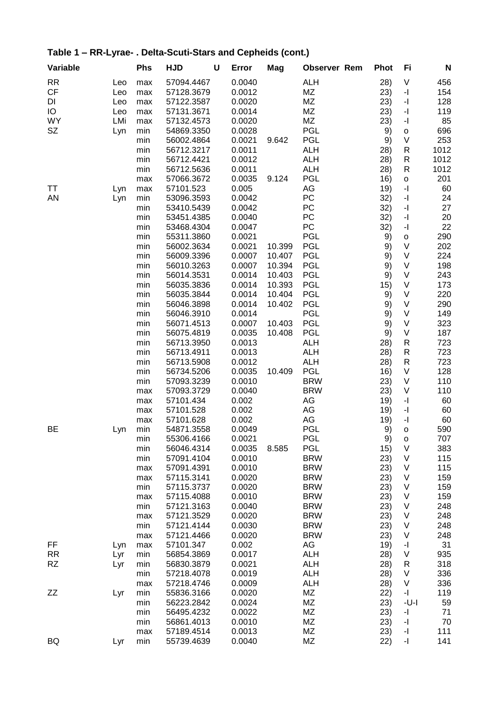| Variable  |     | <b>Phs</b> | <b>HJD</b> | U | Error  | Mag    | <b>Observer Rem</b> | <b>Phot</b> | Fi                                          | N    |
|-----------|-----|------------|------------|---|--------|--------|---------------------|-------------|---------------------------------------------|------|
| <b>RR</b> | Leo | max        | 57094.4467 |   | 0.0040 |        | <b>ALH</b>          | 28)         | V                                           | 456  |
| <b>CF</b> | Leo | max        | 57128.3679 |   | 0.0012 |        | MZ                  | 23)         | $\mathbf{I}$                                | 154  |
| DI        | Leo | max        | 57122.3587 |   | 0.0020 |        | ΜZ                  | 23)         | $\mathbf{I}$                                | 128  |
| IO        | Leo | max        | 57131.3671 |   | 0.0014 |        | ΜZ                  | 23)         | $\mathord{\text{-}} \mathord{\text{\rm l}}$ | 119  |
| <b>WY</b> | LMi | max        | 57132.4573 |   | 0.0020 |        | MZ                  | 23)         | $\mathord{\text{-}} \mathord{\text{\rm l}}$ | 85   |
| SZ        | Lyn | min        | 54869.3350 |   | 0.0028 |        | PGL                 | 9)          | $\mathsf{o}$                                | 696  |
|           |     | min        | 56002.4864 |   | 0.0021 | 9.642  | PGL                 | 9)          | V                                           | 253  |
|           |     | min        | 56712.3217 |   | 0.0011 |        | <b>ALH</b>          | 28)         | R                                           | 1012 |
|           |     | min        | 56712.4421 |   | 0.0012 |        | <b>ALH</b>          | 28)         | R                                           | 1012 |
|           |     | min        | 56712.5636 |   | 0.0011 |        | <b>ALH</b>          | 28)         | R                                           | 1012 |
|           |     | max        | 57066.3672 |   | 0.0035 | 9.124  | <b>PGL</b>          | 16)         | $\mathsf{o}$                                | 201  |
| TT        | Lyn | max        | 57101.523  |   | 0.005  |        | AG                  | 19)         | $\mathbf{I}$                                | 60   |
| <b>AN</b> | Lyn | min        | 53096.3593 |   | 0.0042 |        | PC                  | 32)         | $\mathbf{I}$                                | 24   |
|           |     | min        | 53410.5439 |   | 0.0042 |        | PC                  | 32)         | -1                                          | 27   |
|           |     | min        | 53451.4385 |   | 0.0040 |        | PC                  | 32)         | $\mathbf{I}$                                | 20   |
|           |     | min        | 53468.4304 |   | 0.0047 |        | PC                  | 32)         | $\mathbf{I}$                                | 22   |
|           |     | min        | 55311.3860 |   | 0.0021 |        | <b>PGL</b>          | 9)          | $\mathsf{o}$                                | 290  |
|           |     | min        | 56002.3634 |   | 0.0021 | 10.399 | PGL                 | 9)          | $\vee$                                      | 202  |
|           |     | min        | 56009.3396 |   | 0.0007 | 10.407 | PGL                 | 9)          | $\sf V$                                     | 224  |
|           |     | min        | 56010.3263 |   | 0.0007 | 10.394 | <b>PGL</b>          | 9)          | $\vee$                                      | 198  |
|           |     | min        | 56014.3531 |   | 0.0014 | 10.403 | <b>PGL</b>          |             | $\sf V$                                     | 243  |
|           |     |            |            |   | 0.0014 |        |                     | 9)          | $\sf V$                                     |      |
|           |     | min        | 56035.3836 |   |        | 10.393 | <b>PGL</b>          | 15)         | $\vee$                                      | 173  |
|           |     | min        | 56035.3844 |   | 0.0014 | 10.404 | <b>PGL</b>          | 9)          |                                             | 220  |
|           |     | min        | 56046.3898 |   | 0.0014 | 10.402 | PGL                 | 9)          | $\sf V$                                     | 290  |
|           |     | min        | 56046.3910 |   | 0.0014 |        | PGL                 | 9)          | $\sf V$                                     | 149  |
|           |     | min        | 56071.4513 |   | 0.0007 | 10.403 | <b>PGL</b>          | 9)          | $\sf V$                                     | 323  |
|           |     | min        | 56075.4819 |   | 0.0035 | 10.408 | <b>PGL</b>          | 9)          | $\sf V$                                     | 187  |
|           |     | min        | 56713.3950 |   | 0.0013 |        | <b>ALH</b>          | 28)         | R                                           | 723  |
|           |     | min        | 56713.4911 |   | 0.0013 |        | <b>ALH</b>          | 28)         | R                                           | 723  |
|           |     | min        | 56713.5908 |   | 0.0012 |        | <b>ALH</b>          | 28)         | $\mathsf R$                                 | 723  |
|           |     | min        | 56734.5206 |   | 0.0035 | 10.409 | <b>PGL</b>          | 16)         | $\sf V$                                     | 128  |
|           |     | min        | 57093.3239 |   | 0.0010 |        | <b>BRW</b>          | 23)         | V                                           | 110  |
|           |     | max        | 57093.3729 |   | 0.0040 |        | <b>BRW</b>          | 23)         | $\sf V$                                     | 110  |
|           |     | max        | 57101.434  |   | 0.002  |        | AG                  | 19)         | $\overline{\phantom{a}}$                    | 60   |
|           |     | max        | 57101.528  |   | 0.002  |        | AG                  | 19)         | $\mathbf{I}$                                | 60   |
|           |     | max        | 57101.628  |   | 0.002  |        | AG                  | 19)         | $\mathbf{I}$                                | 60   |
| BE        | Lyn | min        | 54871.3558 |   | 0.0049 |        | <b>PGL</b>          | 9)          | $\mathsf{o}$                                | 590  |
|           |     | min        | 55306.4166 |   | 0.0021 |        | <b>PGL</b>          | 9)          | o                                           | 707  |
|           |     | min        | 56046.4314 |   | 0.0035 | 8.585  | <b>PGL</b>          | 15)         | $\sf V$                                     | 383  |
|           |     | min        | 57091.4104 |   | 0.0010 |        | <b>BRW</b>          | 23)         | V                                           | 115  |
|           |     | max        | 57091.4391 |   | 0.0010 |        | <b>BRW</b>          | 23)         | V                                           | 115  |
|           |     | max        | 57115.3141 |   | 0.0020 |        | <b>BRW</b>          | 23)         | V                                           | 159  |
|           |     | min        | 57115.3737 |   | 0.0020 |        | <b>BRW</b>          | 23)         | V                                           | 159  |
|           |     | max        | 57115.4088 |   | 0.0010 |        | <b>BRW</b>          | 23)         | V                                           | 159  |
|           |     | min        | 57121.3163 |   | 0.0040 |        | <b>BRW</b>          | 23)         | V                                           | 248  |
|           |     | max        | 57121.3529 |   | 0.0020 |        | <b>BRW</b>          | 23)         | $\sf V$                                     | 248  |
|           |     | min        | 57121.4144 |   | 0.0030 |        | <b>BRW</b>          | 23)         | $\sf V$                                     | 248  |
|           |     | max        | 57121.4466 |   | 0.0020 |        | <b>BRW</b>          | 23)         | V                                           | 248  |
| FF        | Lyn | max        | 57101.347  |   | 0.002  |        | AG                  | 19)         | -1                                          | 31   |
| RR        | Lyr | min        | 56854.3869 |   | 0.0017 |        | <b>ALH</b>          | 28)         | V                                           | 935  |
| RZ        | Lyr | min        | 56830.3879 |   | 0.0021 |        | <b>ALH</b>          | 28)         | R                                           | 318  |
|           |     | min        | 57218.4078 |   | 0.0019 |        | <b>ALH</b>          | 28)         | V                                           | 336  |
|           |     | max        | 57218.4746 |   | 0.0009 |        | <b>ALH</b>          | 28)         | V                                           | 336  |
| ZΖ        | Lyr | min        | 55836.3166 |   | 0.0020 |        | ΜZ                  | 22)         | -1                                          | 119  |
|           |     | min        | 56223.2842 |   | 0.0024 |        | MZ                  | 23)         | $-U-I$                                      | 59   |
|           |     | min        | 56495.4232 |   | 0.0022 |        | MZ                  | 23)         | -1                                          | 71   |
|           |     | min        | 56861.4013 |   | 0.0010 |        | MZ                  | 23)         | $\overline{\phantom{a}}$                    | 70   |
|           |     | max        | 57189.4514 |   | 0.0013 |        | ΜZ                  | 23)         | $\mathord{\text{-}} \mathord{\text{\rm l}}$ | 111  |
| BQ        | Lyr | min        | 55739.4639 |   | 0.0040 |        | MZ                  | 22)         | $\mathbf{-} \mathbf{I}$                     | 141  |
|           |     |            |            |   |        |        |                     |             |                                             |      |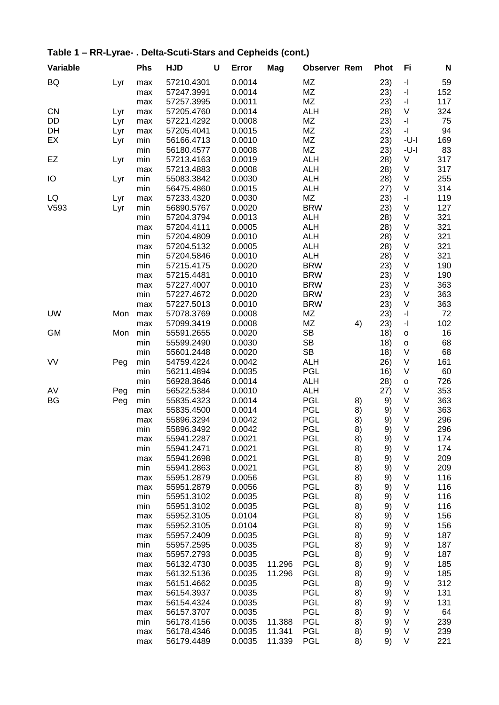| BQ<br>0.0014<br><b>MZ</b><br>$\mathbf{-} \Vert$<br>59<br>57210.4301<br>23)<br>Lyr<br>max<br>MZ<br>$\mathbf{-} \Vert$<br>152<br>57247.3991<br>0.0014<br>23)<br>max<br><b>MZ</b><br>0.0011<br>$\mathord{\text{-}} \mathord{\text{\rm l}}$<br>117<br>57257.3995<br>23)<br>max<br>0.0014<br><b>ALH</b><br>V<br>324<br><b>CN</b><br>57205.4760<br>28)<br>Lyr<br>max<br>$\overline{\phantom{a}}$<br>MZ<br>75<br>DD<br>57221.4292<br>0.0008<br>23)<br>Lyr<br>max<br>$\overline{\phantom{a}}$<br>DH<br>0.0015<br>MZ<br>94<br>57205.4041<br>23)<br>Lyr<br>max<br>EX<br>0.0010<br>MZ<br>169<br>56166.4713<br>23)<br>-U-I<br>min<br>Lyr<br>MZ<br>83<br>56180.4577<br>0.0008<br>23)<br>-U-I<br>min<br>0.0019<br>317<br>EZ<br>min<br>57213.4163<br><b>ALH</b><br>28)<br>V<br>Lyr<br>317<br>57213.4883<br>0.0008<br><b>ALH</b><br>28)<br>V<br>max<br>IO<br>55083.3842<br>0.0030<br><b>ALH</b><br>28)<br>V<br>255<br>min<br>Lyr<br>314<br>56475.4860<br>0.0015<br>ALH<br>(27)<br>V<br>min<br>0.0030<br>MZ<br>119<br>LQ<br>57233.4320<br>23)<br>-1<br>max<br>Lyr<br>V593<br><b>BRW</b><br>127<br>min<br>56890.5767<br>0.0020<br>V<br>23)<br>Lyr<br>321<br>0.0013<br><b>ALH</b><br>V<br>min<br>57204.3794<br>28)<br>321<br>57204.4111<br>0.0005<br><b>ALH</b><br>V<br>28)<br>max<br>0.0010<br><b>ALH</b><br>V<br>321<br>min<br>57204.4809<br>28)<br>$\sf V$<br>321<br>57204.5132<br>0.0005<br><b>ALH</b><br>28)<br>max<br>321<br>0.0010<br><b>ALH</b><br>$\sf V$<br>min<br>57204.5846<br>28)<br>0.0020<br><b>BRW</b><br>$\sf V$<br>min<br>57215.4175<br>23)<br>190<br>0.0010<br><b>BRW</b><br>$\sf V$<br>190<br>57215.4481<br>23)<br>max<br>0.0010<br><b>BRW</b><br>363<br>57227.4007<br>23)<br>V<br>max<br>V<br>57227.4672<br>0.0020<br><b>BRW</b><br>23)<br>363<br>min<br>V<br>363<br>57227.5013<br>0.0010<br><b>BRW</b><br>23)<br>max<br><b>UW</b><br>Mon<br>57078.3769<br>0.0008<br>ΜZ<br>23)<br>-1<br>72<br>max<br>MZ<br>$\mathbf{-} \Vert$<br>102<br>57099.3419<br>0.0008<br>4)<br>23)<br>max<br>min<br>0.0020<br>SB<br>16<br><b>GM</b><br>Mon<br>55591.2655<br>18)<br>$\mathsf{o}$<br>0.0030<br><b>SB</b><br>68<br>min<br>55599.2490<br>18)<br>$\mathsf{o}$<br><b>SB</b><br>V<br>68<br>min<br>55601.2448<br>0.0020<br>18)<br>VV<br>0.0042<br>$\sf V$<br>min<br>54759.4224<br>ALH<br>26)<br>161<br>Peg<br>0.0035<br><b>PGL</b><br>$\sf V$<br>min<br>56211.4894<br>60<br>16)<br>726<br>min<br>0.0014<br><b>ALH</b><br>28)<br>56928.3646<br>$\mathsf{o}$<br>0.0010<br>353<br>AV<br>min<br><b>ALH</b><br>27)<br>V<br>Peg<br>56522.5384<br>0.0014<br><b>PGL</b><br>363<br>BG<br>Peg<br>min<br>55835.4323<br>V<br>8)<br>9)<br><b>PGL</b><br>V<br>363<br>55835.4500<br>0.0014<br>8)<br>9)<br>max<br>V<br>55896.3294<br>0.0042<br><b>PGL</b><br>296<br>8)<br>9)<br>max<br>PGL<br>9)<br>V<br>296<br>55896.3492<br>0.0042<br>8)<br>min<br><b>PGL</b><br>V<br>174<br>0.0021<br>9)<br>55941.2287<br>8)<br>max<br><b>PGL</b><br>V<br>min<br>0.0021<br>8)<br>9)<br>174<br>55941.2471<br>0.0021<br><b>PGL</b><br>V<br>209<br>55941.2698<br>8)<br>9)<br>max<br>V<br>0.0021<br><b>PGL</b><br>209<br>min<br>55941.2863<br>8)<br>9)<br><b>PGL</b><br>V<br>55951.2879<br>0.0056<br>116<br>8)<br>9)<br>max<br><b>PGL</b><br>V<br>116<br>55951.2879<br>0.0056<br>8)<br>9)<br>max<br>0.0035<br><b>PGL</b><br>$\sf V$<br>116<br>55951.3102<br>8)<br>9)<br>min<br><b>PGL</b><br>0.0035<br>8)<br>V<br>116<br>min<br>55951.3102<br>9)<br><b>PGL</b><br>55952.3105<br>0.0104<br>8)<br>V<br>156<br>9)<br>max<br>V<br>55952.3105<br>0.0104<br><b>PGL</b><br>8)<br>9)<br>156<br>max<br>V<br>0.0035<br><b>PGL</b><br>8)<br>187<br>55957.2409<br>9)<br>max<br><b>PGL</b><br>187<br>0.0035<br>8)<br>V<br>min<br>55957.2595<br>9)<br><b>PGL</b><br>0.0035<br>187<br>55957.2793<br>8)<br>9)<br>V<br>max<br><b>PGL</b><br>V<br>185<br>56132.4730<br>0.0035<br>11.296<br>8)<br>9)<br>max<br>0.0035<br><b>PGL</b><br>V<br>185<br>56132.5136<br>11.296<br>8)<br>9)<br>max<br>V<br>0.0035<br><b>PGL</b><br>312<br>56151.4662<br>8)<br>9)<br>max<br>0.0035<br><b>PGL</b><br>V<br>131<br>56154.3937<br>8)<br>9)<br>max<br>0.0035<br><b>PGL</b><br>V<br>131<br>56154.4324<br>8)<br>9)<br>max<br><b>PGL</b><br>0.0035<br>$\sf V$<br>64<br>56157.3707<br>8)<br>9)<br>max<br>0.0035<br><b>PGL</b><br>239<br>min<br>8)<br>V<br>56178.4156<br>11.388<br>9)<br>0.0035<br><b>PGL</b><br>239<br>56178.4346<br>11.341<br>8)<br>V<br>9)<br>max | Variable | <b>Phs</b> | <b>HJD</b> | U | Error  | Mag    | <b>Observer Rem</b> |    | <b>Phot</b> | Fi | N   |
|--------------------------------------------------------------------------------------------------------------------------------------------------------------------------------------------------------------------------------------------------------------------------------------------------------------------------------------------------------------------------------------------------------------------------------------------------------------------------------------------------------------------------------------------------------------------------------------------------------------------------------------------------------------------------------------------------------------------------------------------------------------------------------------------------------------------------------------------------------------------------------------------------------------------------------------------------------------------------------------------------------------------------------------------------------------------------------------------------------------------------------------------------------------------------------------------------------------------------------------------------------------------------------------------------------------------------------------------------------------------------------------------------------------------------------------------------------------------------------------------------------------------------------------------------------------------------------------------------------------------------------------------------------------------------------------------------------------------------------------------------------------------------------------------------------------------------------------------------------------------------------------------------------------------------------------------------------------------------------------------------------------------------------------------------------------------------------------------------------------------------------------------------------------------------------------------------------------------------------------------------------------------------------------------------------------------------------------------------------------------------------------------------------------------------------------------------------------------------------------------------------------------------------------------------------------------------------------------------------------------------------------------------------------------------------------------------------------------------------------------------------------------------------------------------------------------------------------------------------------------------------------------------------------------------------------------------------------------------------------------------------------------------------------------------------------------------------------------------------------------------------------------------------------------------------------------------------------------------------------------------------------------------------------------------------------------------------------------------------------------------------------------------------------------------------------------------------------------------------------------------------------------------------------------------------------------------------------------------------------------------------------------------------------------------------------------------------------------------------------------------------------------------------------------------------------------------------------------------------------------------------------------------------------------------------------------------------------------------------------------------------------------------------------------------------------------------------------------------------------------------------------------------------------------------------------------------------------------------------------------------------------------------------------------------------------------------------------------------------------------------------|----------|------------|------------|---|--------|--------|---------------------|----|-------------|----|-----|
|                                                                                                                                                                                                                                                                                                                                                                                                                                                                                                                                                                                                                                                                                                                                                                                                                                                                                                                                                                                                                                                                                                                                                                                                                                                                                                                                                                                                                                                                                                                                                                                                                                                                                                                                                                                                                                                                                                                                                                                                                                                                                                                                                                                                                                                                                                                                                                                                                                                                                                                                                                                                                                                                                                                                                                                                                                                                                                                                                                                                                                                                                                                                                                                                                                                                                                                                                                                                                                                                                                                                                                                                                                                                                                                                                                                                                                                                                                                                                                                                                                                                                                                                                                                                                                                                                                                                                                                |          |            |            |   |        |        |                     |    |             |    |     |
|                                                                                                                                                                                                                                                                                                                                                                                                                                                                                                                                                                                                                                                                                                                                                                                                                                                                                                                                                                                                                                                                                                                                                                                                                                                                                                                                                                                                                                                                                                                                                                                                                                                                                                                                                                                                                                                                                                                                                                                                                                                                                                                                                                                                                                                                                                                                                                                                                                                                                                                                                                                                                                                                                                                                                                                                                                                                                                                                                                                                                                                                                                                                                                                                                                                                                                                                                                                                                                                                                                                                                                                                                                                                                                                                                                                                                                                                                                                                                                                                                                                                                                                                                                                                                                                                                                                                                                                |          |            |            |   |        |        |                     |    |             |    |     |
|                                                                                                                                                                                                                                                                                                                                                                                                                                                                                                                                                                                                                                                                                                                                                                                                                                                                                                                                                                                                                                                                                                                                                                                                                                                                                                                                                                                                                                                                                                                                                                                                                                                                                                                                                                                                                                                                                                                                                                                                                                                                                                                                                                                                                                                                                                                                                                                                                                                                                                                                                                                                                                                                                                                                                                                                                                                                                                                                                                                                                                                                                                                                                                                                                                                                                                                                                                                                                                                                                                                                                                                                                                                                                                                                                                                                                                                                                                                                                                                                                                                                                                                                                                                                                                                                                                                                                                                |          |            |            |   |        |        |                     |    |             |    |     |
|                                                                                                                                                                                                                                                                                                                                                                                                                                                                                                                                                                                                                                                                                                                                                                                                                                                                                                                                                                                                                                                                                                                                                                                                                                                                                                                                                                                                                                                                                                                                                                                                                                                                                                                                                                                                                                                                                                                                                                                                                                                                                                                                                                                                                                                                                                                                                                                                                                                                                                                                                                                                                                                                                                                                                                                                                                                                                                                                                                                                                                                                                                                                                                                                                                                                                                                                                                                                                                                                                                                                                                                                                                                                                                                                                                                                                                                                                                                                                                                                                                                                                                                                                                                                                                                                                                                                                                                |          |            |            |   |        |        |                     |    |             |    |     |
|                                                                                                                                                                                                                                                                                                                                                                                                                                                                                                                                                                                                                                                                                                                                                                                                                                                                                                                                                                                                                                                                                                                                                                                                                                                                                                                                                                                                                                                                                                                                                                                                                                                                                                                                                                                                                                                                                                                                                                                                                                                                                                                                                                                                                                                                                                                                                                                                                                                                                                                                                                                                                                                                                                                                                                                                                                                                                                                                                                                                                                                                                                                                                                                                                                                                                                                                                                                                                                                                                                                                                                                                                                                                                                                                                                                                                                                                                                                                                                                                                                                                                                                                                                                                                                                                                                                                                                                |          |            |            |   |        |        |                     |    |             |    |     |
|                                                                                                                                                                                                                                                                                                                                                                                                                                                                                                                                                                                                                                                                                                                                                                                                                                                                                                                                                                                                                                                                                                                                                                                                                                                                                                                                                                                                                                                                                                                                                                                                                                                                                                                                                                                                                                                                                                                                                                                                                                                                                                                                                                                                                                                                                                                                                                                                                                                                                                                                                                                                                                                                                                                                                                                                                                                                                                                                                                                                                                                                                                                                                                                                                                                                                                                                                                                                                                                                                                                                                                                                                                                                                                                                                                                                                                                                                                                                                                                                                                                                                                                                                                                                                                                                                                                                                                                |          |            |            |   |        |        |                     |    |             |    |     |
|                                                                                                                                                                                                                                                                                                                                                                                                                                                                                                                                                                                                                                                                                                                                                                                                                                                                                                                                                                                                                                                                                                                                                                                                                                                                                                                                                                                                                                                                                                                                                                                                                                                                                                                                                                                                                                                                                                                                                                                                                                                                                                                                                                                                                                                                                                                                                                                                                                                                                                                                                                                                                                                                                                                                                                                                                                                                                                                                                                                                                                                                                                                                                                                                                                                                                                                                                                                                                                                                                                                                                                                                                                                                                                                                                                                                                                                                                                                                                                                                                                                                                                                                                                                                                                                                                                                                                                                |          |            |            |   |        |        |                     |    |             |    |     |
|                                                                                                                                                                                                                                                                                                                                                                                                                                                                                                                                                                                                                                                                                                                                                                                                                                                                                                                                                                                                                                                                                                                                                                                                                                                                                                                                                                                                                                                                                                                                                                                                                                                                                                                                                                                                                                                                                                                                                                                                                                                                                                                                                                                                                                                                                                                                                                                                                                                                                                                                                                                                                                                                                                                                                                                                                                                                                                                                                                                                                                                                                                                                                                                                                                                                                                                                                                                                                                                                                                                                                                                                                                                                                                                                                                                                                                                                                                                                                                                                                                                                                                                                                                                                                                                                                                                                                                                |          |            |            |   |        |        |                     |    |             |    |     |
|                                                                                                                                                                                                                                                                                                                                                                                                                                                                                                                                                                                                                                                                                                                                                                                                                                                                                                                                                                                                                                                                                                                                                                                                                                                                                                                                                                                                                                                                                                                                                                                                                                                                                                                                                                                                                                                                                                                                                                                                                                                                                                                                                                                                                                                                                                                                                                                                                                                                                                                                                                                                                                                                                                                                                                                                                                                                                                                                                                                                                                                                                                                                                                                                                                                                                                                                                                                                                                                                                                                                                                                                                                                                                                                                                                                                                                                                                                                                                                                                                                                                                                                                                                                                                                                                                                                                                                                |          |            |            |   |        |        |                     |    |             |    |     |
|                                                                                                                                                                                                                                                                                                                                                                                                                                                                                                                                                                                                                                                                                                                                                                                                                                                                                                                                                                                                                                                                                                                                                                                                                                                                                                                                                                                                                                                                                                                                                                                                                                                                                                                                                                                                                                                                                                                                                                                                                                                                                                                                                                                                                                                                                                                                                                                                                                                                                                                                                                                                                                                                                                                                                                                                                                                                                                                                                                                                                                                                                                                                                                                                                                                                                                                                                                                                                                                                                                                                                                                                                                                                                                                                                                                                                                                                                                                                                                                                                                                                                                                                                                                                                                                                                                                                                                                |          |            |            |   |        |        |                     |    |             |    |     |
|                                                                                                                                                                                                                                                                                                                                                                                                                                                                                                                                                                                                                                                                                                                                                                                                                                                                                                                                                                                                                                                                                                                                                                                                                                                                                                                                                                                                                                                                                                                                                                                                                                                                                                                                                                                                                                                                                                                                                                                                                                                                                                                                                                                                                                                                                                                                                                                                                                                                                                                                                                                                                                                                                                                                                                                                                                                                                                                                                                                                                                                                                                                                                                                                                                                                                                                                                                                                                                                                                                                                                                                                                                                                                                                                                                                                                                                                                                                                                                                                                                                                                                                                                                                                                                                                                                                                                                                |          |            |            |   |        |        |                     |    |             |    |     |
|                                                                                                                                                                                                                                                                                                                                                                                                                                                                                                                                                                                                                                                                                                                                                                                                                                                                                                                                                                                                                                                                                                                                                                                                                                                                                                                                                                                                                                                                                                                                                                                                                                                                                                                                                                                                                                                                                                                                                                                                                                                                                                                                                                                                                                                                                                                                                                                                                                                                                                                                                                                                                                                                                                                                                                                                                                                                                                                                                                                                                                                                                                                                                                                                                                                                                                                                                                                                                                                                                                                                                                                                                                                                                                                                                                                                                                                                                                                                                                                                                                                                                                                                                                                                                                                                                                                                                                                |          |            |            |   |        |        |                     |    |             |    |     |
|                                                                                                                                                                                                                                                                                                                                                                                                                                                                                                                                                                                                                                                                                                                                                                                                                                                                                                                                                                                                                                                                                                                                                                                                                                                                                                                                                                                                                                                                                                                                                                                                                                                                                                                                                                                                                                                                                                                                                                                                                                                                                                                                                                                                                                                                                                                                                                                                                                                                                                                                                                                                                                                                                                                                                                                                                                                                                                                                                                                                                                                                                                                                                                                                                                                                                                                                                                                                                                                                                                                                                                                                                                                                                                                                                                                                                                                                                                                                                                                                                                                                                                                                                                                                                                                                                                                                                                                |          |            |            |   |        |        |                     |    |             |    |     |
|                                                                                                                                                                                                                                                                                                                                                                                                                                                                                                                                                                                                                                                                                                                                                                                                                                                                                                                                                                                                                                                                                                                                                                                                                                                                                                                                                                                                                                                                                                                                                                                                                                                                                                                                                                                                                                                                                                                                                                                                                                                                                                                                                                                                                                                                                                                                                                                                                                                                                                                                                                                                                                                                                                                                                                                                                                                                                                                                                                                                                                                                                                                                                                                                                                                                                                                                                                                                                                                                                                                                                                                                                                                                                                                                                                                                                                                                                                                                                                                                                                                                                                                                                                                                                                                                                                                                                                                |          |            |            |   |        |        |                     |    |             |    |     |
|                                                                                                                                                                                                                                                                                                                                                                                                                                                                                                                                                                                                                                                                                                                                                                                                                                                                                                                                                                                                                                                                                                                                                                                                                                                                                                                                                                                                                                                                                                                                                                                                                                                                                                                                                                                                                                                                                                                                                                                                                                                                                                                                                                                                                                                                                                                                                                                                                                                                                                                                                                                                                                                                                                                                                                                                                                                                                                                                                                                                                                                                                                                                                                                                                                                                                                                                                                                                                                                                                                                                                                                                                                                                                                                                                                                                                                                                                                                                                                                                                                                                                                                                                                                                                                                                                                                                                                                |          |            |            |   |        |        |                     |    |             |    |     |
|                                                                                                                                                                                                                                                                                                                                                                                                                                                                                                                                                                                                                                                                                                                                                                                                                                                                                                                                                                                                                                                                                                                                                                                                                                                                                                                                                                                                                                                                                                                                                                                                                                                                                                                                                                                                                                                                                                                                                                                                                                                                                                                                                                                                                                                                                                                                                                                                                                                                                                                                                                                                                                                                                                                                                                                                                                                                                                                                                                                                                                                                                                                                                                                                                                                                                                                                                                                                                                                                                                                                                                                                                                                                                                                                                                                                                                                                                                                                                                                                                                                                                                                                                                                                                                                                                                                                                                                |          |            |            |   |        |        |                     |    |             |    |     |
|                                                                                                                                                                                                                                                                                                                                                                                                                                                                                                                                                                                                                                                                                                                                                                                                                                                                                                                                                                                                                                                                                                                                                                                                                                                                                                                                                                                                                                                                                                                                                                                                                                                                                                                                                                                                                                                                                                                                                                                                                                                                                                                                                                                                                                                                                                                                                                                                                                                                                                                                                                                                                                                                                                                                                                                                                                                                                                                                                                                                                                                                                                                                                                                                                                                                                                                                                                                                                                                                                                                                                                                                                                                                                                                                                                                                                                                                                                                                                                                                                                                                                                                                                                                                                                                                                                                                                                                |          |            |            |   |        |        |                     |    |             |    |     |
|                                                                                                                                                                                                                                                                                                                                                                                                                                                                                                                                                                                                                                                                                                                                                                                                                                                                                                                                                                                                                                                                                                                                                                                                                                                                                                                                                                                                                                                                                                                                                                                                                                                                                                                                                                                                                                                                                                                                                                                                                                                                                                                                                                                                                                                                                                                                                                                                                                                                                                                                                                                                                                                                                                                                                                                                                                                                                                                                                                                                                                                                                                                                                                                                                                                                                                                                                                                                                                                                                                                                                                                                                                                                                                                                                                                                                                                                                                                                                                                                                                                                                                                                                                                                                                                                                                                                                                                |          |            |            |   |        |        |                     |    |             |    |     |
|                                                                                                                                                                                                                                                                                                                                                                                                                                                                                                                                                                                                                                                                                                                                                                                                                                                                                                                                                                                                                                                                                                                                                                                                                                                                                                                                                                                                                                                                                                                                                                                                                                                                                                                                                                                                                                                                                                                                                                                                                                                                                                                                                                                                                                                                                                                                                                                                                                                                                                                                                                                                                                                                                                                                                                                                                                                                                                                                                                                                                                                                                                                                                                                                                                                                                                                                                                                                                                                                                                                                                                                                                                                                                                                                                                                                                                                                                                                                                                                                                                                                                                                                                                                                                                                                                                                                                                                |          |            |            |   |        |        |                     |    |             |    |     |
|                                                                                                                                                                                                                                                                                                                                                                                                                                                                                                                                                                                                                                                                                                                                                                                                                                                                                                                                                                                                                                                                                                                                                                                                                                                                                                                                                                                                                                                                                                                                                                                                                                                                                                                                                                                                                                                                                                                                                                                                                                                                                                                                                                                                                                                                                                                                                                                                                                                                                                                                                                                                                                                                                                                                                                                                                                                                                                                                                                                                                                                                                                                                                                                                                                                                                                                                                                                                                                                                                                                                                                                                                                                                                                                                                                                                                                                                                                                                                                                                                                                                                                                                                                                                                                                                                                                                                                                |          |            |            |   |        |        |                     |    |             |    |     |
|                                                                                                                                                                                                                                                                                                                                                                                                                                                                                                                                                                                                                                                                                                                                                                                                                                                                                                                                                                                                                                                                                                                                                                                                                                                                                                                                                                                                                                                                                                                                                                                                                                                                                                                                                                                                                                                                                                                                                                                                                                                                                                                                                                                                                                                                                                                                                                                                                                                                                                                                                                                                                                                                                                                                                                                                                                                                                                                                                                                                                                                                                                                                                                                                                                                                                                                                                                                                                                                                                                                                                                                                                                                                                                                                                                                                                                                                                                                                                                                                                                                                                                                                                                                                                                                                                                                                                                                |          |            |            |   |        |        |                     |    |             |    |     |
|                                                                                                                                                                                                                                                                                                                                                                                                                                                                                                                                                                                                                                                                                                                                                                                                                                                                                                                                                                                                                                                                                                                                                                                                                                                                                                                                                                                                                                                                                                                                                                                                                                                                                                                                                                                                                                                                                                                                                                                                                                                                                                                                                                                                                                                                                                                                                                                                                                                                                                                                                                                                                                                                                                                                                                                                                                                                                                                                                                                                                                                                                                                                                                                                                                                                                                                                                                                                                                                                                                                                                                                                                                                                                                                                                                                                                                                                                                                                                                                                                                                                                                                                                                                                                                                                                                                                                                                |          |            |            |   |        |        |                     |    |             |    |     |
|                                                                                                                                                                                                                                                                                                                                                                                                                                                                                                                                                                                                                                                                                                                                                                                                                                                                                                                                                                                                                                                                                                                                                                                                                                                                                                                                                                                                                                                                                                                                                                                                                                                                                                                                                                                                                                                                                                                                                                                                                                                                                                                                                                                                                                                                                                                                                                                                                                                                                                                                                                                                                                                                                                                                                                                                                                                                                                                                                                                                                                                                                                                                                                                                                                                                                                                                                                                                                                                                                                                                                                                                                                                                                                                                                                                                                                                                                                                                                                                                                                                                                                                                                                                                                                                                                                                                                                                |          |            |            |   |        |        |                     |    |             |    |     |
|                                                                                                                                                                                                                                                                                                                                                                                                                                                                                                                                                                                                                                                                                                                                                                                                                                                                                                                                                                                                                                                                                                                                                                                                                                                                                                                                                                                                                                                                                                                                                                                                                                                                                                                                                                                                                                                                                                                                                                                                                                                                                                                                                                                                                                                                                                                                                                                                                                                                                                                                                                                                                                                                                                                                                                                                                                                                                                                                                                                                                                                                                                                                                                                                                                                                                                                                                                                                                                                                                                                                                                                                                                                                                                                                                                                                                                                                                                                                                                                                                                                                                                                                                                                                                                                                                                                                                                                |          |            |            |   |        |        |                     |    |             |    |     |
|                                                                                                                                                                                                                                                                                                                                                                                                                                                                                                                                                                                                                                                                                                                                                                                                                                                                                                                                                                                                                                                                                                                                                                                                                                                                                                                                                                                                                                                                                                                                                                                                                                                                                                                                                                                                                                                                                                                                                                                                                                                                                                                                                                                                                                                                                                                                                                                                                                                                                                                                                                                                                                                                                                                                                                                                                                                                                                                                                                                                                                                                                                                                                                                                                                                                                                                                                                                                                                                                                                                                                                                                                                                                                                                                                                                                                                                                                                                                                                                                                                                                                                                                                                                                                                                                                                                                                                                |          |            |            |   |        |        |                     |    |             |    |     |
|                                                                                                                                                                                                                                                                                                                                                                                                                                                                                                                                                                                                                                                                                                                                                                                                                                                                                                                                                                                                                                                                                                                                                                                                                                                                                                                                                                                                                                                                                                                                                                                                                                                                                                                                                                                                                                                                                                                                                                                                                                                                                                                                                                                                                                                                                                                                                                                                                                                                                                                                                                                                                                                                                                                                                                                                                                                                                                                                                                                                                                                                                                                                                                                                                                                                                                                                                                                                                                                                                                                                                                                                                                                                                                                                                                                                                                                                                                                                                                                                                                                                                                                                                                                                                                                                                                                                                                                |          |            |            |   |        |        |                     |    |             |    |     |
|                                                                                                                                                                                                                                                                                                                                                                                                                                                                                                                                                                                                                                                                                                                                                                                                                                                                                                                                                                                                                                                                                                                                                                                                                                                                                                                                                                                                                                                                                                                                                                                                                                                                                                                                                                                                                                                                                                                                                                                                                                                                                                                                                                                                                                                                                                                                                                                                                                                                                                                                                                                                                                                                                                                                                                                                                                                                                                                                                                                                                                                                                                                                                                                                                                                                                                                                                                                                                                                                                                                                                                                                                                                                                                                                                                                                                                                                                                                                                                                                                                                                                                                                                                                                                                                                                                                                                                                |          |            |            |   |        |        |                     |    |             |    |     |
|                                                                                                                                                                                                                                                                                                                                                                                                                                                                                                                                                                                                                                                                                                                                                                                                                                                                                                                                                                                                                                                                                                                                                                                                                                                                                                                                                                                                                                                                                                                                                                                                                                                                                                                                                                                                                                                                                                                                                                                                                                                                                                                                                                                                                                                                                                                                                                                                                                                                                                                                                                                                                                                                                                                                                                                                                                                                                                                                                                                                                                                                                                                                                                                                                                                                                                                                                                                                                                                                                                                                                                                                                                                                                                                                                                                                                                                                                                                                                                                                                                                                                                                                                                                                                                                                                                                                                                                |          |            |            |   |        |        |                     |    |             |    |     |
|                                                                                                                                                                                                                                                                                                                                                                                                                                                                                                                                                                                                                                                                                                                                                                                                                                                                                                                                                                                                                                                                                                                                                                                                                                                                                                                                                                                                                                                                                                                                                                                                                                                                                                                                                                                                                                                                                                                                                                                                                                                                                                                                                                                                                                                                                                                                                                                                                                                                                                                                                                                                                                                                                                                                                                                                                                                                                                                                                                                                                                                                                                                                                                                                                                                                                                                                                                                                                                                                                                                                                                                                                                                                                                                                                                                                                                                                                                                                                                                                                                                                                                                                                                                                                                                                                                                                                                                |          |            |            |   |        |        |                     |    |             |    |     |
|                                                                                                                                                                                                                                                                                                                                                                                                                                                                                                                                                                                                                                                                                                                                                                                                                                                                                                                                                                                                                                                                                                                                                                                                                                                                                                                                                                                                                                                                                                                                                                                                                                                                                                                                                                                                                                                                                                                                                                                                                                                                                                                                                                                                                                                                                                                                                                                                                                                                                                                                                                                                                                                                                                                                                                                                                                                                                                                                                                                                                                                                                                                                                                                                                                                                                                                                                                                                                                                                                                                                                                                                                                                                                                                                                                                                                                                                                                                                                                                                                                                                                                                                                                                                                                                                                                                                                                                |          |            |            |   |        |        |                     |    |             |    |     |
|                                                                                                                                                                                                                                                                                                                                                                                                                                                                                                                                                                                                                                                                                                                                                                                                                                                                                                                                                                                                                                                                                                                                                                                                                                                                                                                                                                                                                                                                                                                                                                                                                                                                                                                                                                                                                                                                                                                                                                                                                                                                                                                                                                                                                                                                                                                                                                                                                                                                                                                                                                                                                                                                                                                                                                                                                                                                                                                                                                                                                                                                                                                                                                                                                                                                                                                                                                                                                                                                                                                                                                                                                                                                                                                                                                                                                                                                                                                                                                                                                                                                                                                                                                                                                                                                                                                                                                                |          |            |            |   |        |        |                     |    |             |    |     |
|                                                                                                                                                                                                                                                                                                                                                                                                                                                                                                                                                                                                                                                                                                                                                                                                                                                                                                                                                                                                                                                                                                                                                                                                                                                                                                                                                                                                                                                                                                                                                                                                                                                                                                                                                                                                                                                                                                                                                                                                                                                                                                                                                                                                                                                                                                                                                                                                                                                                                                                                                                                                                                                                                                                                                                                                                                                                                                                                                                                                                                                                                                                                                                                                                                                                                                                                                                                                                                                                                                                                                                                                                                                                                                                                                                                                                                                                                                                                                                                                                                                                                                                                                                                                                                                                                                                                                                                |          |            |            |   |        |        |                     |    |             |    |     |
|                                                                                                                                                                                                                                                                                                                                                                                                                                                                                                                                                                                                                                                                                                                                                                                                                                                                                                                                                                                                                                                                                                                                                                                                                                                                                                                                                                                                                                                                                                                                                                                                                                                                                                                                                                                                                                                                                                                                                                                                                                                                                                                                                                                                                                                                                                                                                                                                                                                                                                                                                                                                                                                                                                                                                                                                                                                                                                                                                                                                                                                                                                                                                                                                                                                                                                                                                                                                                                                                                                                                                                                                                                                                                                                                                                                                                                                                                                                                                                                                                                                                                                                                                                                                                                                                                                                                                                                |          |            |            |   |        |        |                     |    |             |    |     |
|                                                                                                                                                                                                                                                                                                                                                                                                                                                                                                                                                                                                                                                                                                                                                                                                                                                                                                                                                                                                                                                                                                                                                                                                                                                                                                                                                                                                                                                                                                                                                                                                                                                                                                                                                                                                                                                                                                                                                                                                                                                                                                                                                                                                                                                                                                                                                                                                                                                                                                                                                                                                                                                                                                                                                                                                                                                                                                                                                                                                                                                                                                                                                                                                                                                                                                                                                                                                                                                                                                                                                                                                                                                                                                                                                                                                                                                                                                                                                                                                                                                                                                                                                                                                                                                                                                                                                                                |          |            |            |   |        |        |                     |    |             |    |     |
|                                                                                                                                                                                                                                                                                                                                                                                                                                                                                                                                                                                                                                                                                                                                                                                                                                                                                                                                                                                                                                                                                                                                                                                                                                                                                                                                                                                                                                                                                                                                                                                                                                                                                                                                                                                                                                                                                                                                                                                                                                                                                                                                                                                                                                                                                                                                                                                                                                                                                                                                                                                                                                                                                                                                                                                                                                                                                                                                                                                                                                                                                                                                                                                                                                                                                                                                                                                                                                                                                                                                                                                                                                                                                                                                                                                                                                                                                                                                                                                                                                                                                                                                                                                                                                                                                                                                                                                |          |            |            |   |        |        |                     |    |             |    |     |
|                                                                                                                                                                                                                                                                                                                                                                                                                                                                                                                                                                                                                                                                                                                                                                                                                                                                                                                                                                                                                                                                                                                                                                                                                                                                                                                                                                                                                                                                                                                                                                                                                                                                                                                                                                                                                                                                                                                                                                                                                                                                                                                                                                                                                                                                                                                                                                                                                                                                                                                                                                                                                                                                                                                                                                                                                                                                                                                                                                                                                                                                                                                                                                                                                                                                                                                                                                                                                                                                                                                                                                                                                                                                                                                                                                                                                                                                                                                                                                                                                                                                                                                                                                                                                                                                                                                                                                                |          |            |            |   |        |        |                     |    |             |    |     |
|                                                                                                                                                                                                                                                                                                                                                                                                                                                                                                                                                                                                                                                                                                                                                                                                                                                                                                                                                                                                                                                                                                                                                                                                                                                                                                                                                                                                                                                                                                                                                                                                                                                                                                                                                                                                                                                                                                                                                                                                                                                                                                                                                                                                                                                                                                                                                                                                                                                                                                                                                                                                                                                                                                                                                                                                                                                                                                                                                                                                                                                                                                                                                                                                                                                                                                                                                                                                                                                                                                                                                                                                                                                                                                                                                                                                                                                                                                                                                                                                                                                                                                                                                                                                                                                                                                                                                                                |          |            |            |   |        |        |                     |    |             |    |     |
|                                                                                                                                                                                                                                                                                                                                                                                                                                                                                                                                                                                                                                                                                                                                                                                                                                                                                                                                                                                                                                                                                                                                                                                                                                                                                                                                                                                                                                                                                                                                                                                                                                                                                                                                                                                                                                                                                                                                                                                                                                                                                                                                                                                                                                                                                                                                                                                                                                                                                                                                                                                                                                                                                                                                                                                                                                                                                                                                                                                                                                                                                                                                                                                                                                                                                                                                                                                                                                                                                                                                                                                                                                                                                                                                                                                                                                                                                                                                                                                                                                                                                                                                                                                                                                                                                                                                                                                |          |            |            |   |        |        |                     |    |             |    |     |
|                                                                                                                                                                                                                                                                                                                                                                                                                                                                                                                                                                                                                                                                                                                                                                                                                                                                                                                                                                                                                                                                                                                                                                                                                                                                                                                                                                                                                                                                                                                                                                                                                                                                                                                                                                                                                                                                                                                                                                                                                                                                                                                                                                                                                                                                                                                                                                                                                                                                                                                                                                                                                                                                                                                                                                                                                                                                                                                                                                                                                                                                                                                                                                                                                                                                                                                                                                                                                                                                                                                                                                                                                                                                                                                                                                                                                                                                                                                                                                                                                                                                                                                                                                                                                                                                                                                                                                                |          |            |            |   |        |        |                     |    |             |    |     |
|                                                                                                                                                                                                                                                                                                                                                                                                                                                                                                                                                                                                                                                                                                                                                                                                                                                                                                                                                                                                                                                                                                                                                                                                                                                                                                                                                                                                                                                                                                                                                                                                                                                                                                                                                                                                                                                                                                                                                                                                                                                                                                                                                                                                                                                                                                                                                                                                                                                                                                                                                                                                                                                                                                                                                                                                                                                                                                                                                                                                                                                                                                                                                                                                                                                                                                                                                                                                                                                                                                                                                                                                                                                                                                                                                                                                                                                                                                                                                                                                                                                                                                                                                                                                                                                                                                                                                                                |          |            |            |   |        |        |                     |    |             |    |     |
|                                                                                                                                                                                                                                                                                                                                                                                                                                                                                                                                                                                                                                                                                                                                                                                                                                                                                                                                                                                                                                                                                                                                                                                                                                                                                                                                                                                                                                                                                                                                                                                                                                                                                                                                                                                                                                                                                                                                                                                                                                                                                                                                                                                                                                                                                                                                                                                                                                                                                                                                                                                                                                                                                                                                                                                                                                                                                                                                                                                                                                                                                                                                                                                                                                                                                                                                                                                                                                                                                                                                                                                                                                                                                                                                                                                                                                                                                                                                                                                                                                                                                                                                                                                                                                                                                                                                                                                |          |            |            |   |        |        |                     |    |             |    |     |
|                                                                                                                                                                                                                                                                                                                                                                                                                                                                                                                                                                                                                                                                                                                                                                                                                                                                                                                                                                                                                                                                                                                                                                                                                                                                                                                                                                                                                                                                                                                                                                                                                                                                                                                                                                                                                                                                                                                                                                                                                                                                                                                                                                                                                                                                                                                                                                                                                                                                                                                                                                                                                                                                                                                                                                                                                                                                                                                                                                                                                                                                                                                                                                                                                                                                                                                                                                                                                                                                                                                                                                                                                                                                                                                                                                                                                                                                                                                                                                                                                                                                                                                                                                                                                                                                                                                                                                                |          |            |            |   |        |        |                     |    |             |    |     |
|                                                                                                                                                                                                                                                                                                                                                                                                                                                                                                                                                                                                                                                                                                                                                                                                                                                                                                                                                                                                                                                                                                                                                                                                                                                                                                                                                                                                                                                                                                                                                                                                                                                                                                                                                                                                                                                                                                                                                                                                                                                                                                                                                                                                                                                                                                                                                                                                                                                                                                                                                                                                                                                                                                                                                                                                                                                                                                                                                                                                                                                                                                                                                                                                                                                                                                                                                                                                                                                                                                                                                                                                                                                                                                                                                                                                                                                                                                                                                                                                                                                                                                                                                                                                                                                                                                                                                                                |          |            |            |   |        |        |                     |    |             |    |     |
|                                                                                                                                                                                                                                                                                                                                                                                                                                                                                                                                                                                                                                                                                                                                                                                                                                                                                                                                                                                                                                                                                                                                                                                                                                                                                                                                                                                                                                                                                                                                                                                                                                                                                                                                                                                                                                                                                                                                                                                                                                                                                                                                                                                                                                                                                                                                                                                                                                                                                                                                                                                                                                                                                                                                                                                                                                                                                                                                                                                                                                                                                                                                                                                                                                                                                                                                                                                                                                                                                                                                                                                                                                                                                                                                                                                                                                                                                                                                                                                                                                                                                                                                                                                                                                                                                                                                                                                |          |            |            |   |        |        |                     |    |             |    |     |
|                                                                                                                                                                                                                                                                                                                                                                                                                                                                                                                                                                                                                                                                                                                                                                                                                                                                                                                                                                                                                                                                                                                                                                                                                                                                                                                                                                                                                                                                                                                                                                                                                                                                                                                                                                                                                                                                                                                                                                                                                                                                                                                                                                                                                                                                                                                                                                                                                                                                                                                                                                                                                                                                                                                                                                                                                                                                                                                                                                                                                                                                                                                                                                                                                                                                                                                                                                                                                                                                                                                                                                                                                                                                                                                                                                                                                                                                                                                                                                                                                                                                                                                                                                                                                                                                                                                                                                                |          |            |            |   |        |        |                     |    |             |    |     |
|                                                                                                                                                                                                                                                                                                                                                                                                                                                                                                                                                                                                                                                                                                                                                                                                                                                                                                                                                                                                                                                                                                                                                                                                                                                                                                                                                                                                                                                                                                                                                                                                                                                                                                                                                                                                                                                                                                                                                                                                                                                                                                                                                                                                                                                                                                                                                                                                                                                                                                                                                                                                                                                                                                                                                                                                                                                                                                                                                                                                                                                                                                                                                                                                                                                                                                                                                                                                                                                                                                                                                                                                                                                                                                                                                                                                                                                                                                                                                                                                                                                                                                                                                                                                                                                                                                                                                                                |          |            |            |   |        |        |                     |    |             |    |     |
|                                                                                                                                                                                                                                                                                                                                                                                                                                                                                                                                                                                                                                                                                                                                                                                                                                                                                                                                                                                                                                                                                                                                                                                                                                                                                                                                                                                                                                                                                                                                                                                                                                                                                                                                                                                                                                                                                                                                                                                                                                                                                                                                                                                                                                                                                                                                                                                                                                                                                                                                                                                                                                                                                                                                                                                                                                                                                                                                                                                                                                                                                                                                                                                                                                                                                                                                                                                                                                                                                                                                                                                                                                                                                                                                                                                                                                                                                                                                                                                                                                                                                                                                                                                                                                                                                                                                                                                |          |            |            |   |        |        |                     |    |             |    |     |
|                                                                                                                                                                                                                                                                                                                                                                                                                                                                                                                                                                                                                                                                                                                                                                                                                                                                                                                                                                                                                                                                                                                                                                                                                                                                                                                                                                                                                                                                                                                                                                                                                                                                                                                                                                                                                                                                                                                                                                                                                                                                                                                                                                                                                                                                                                                                                                                                                                                                                                                                                                                                                                                                                                                                                                                                                                                                                                                                                                                                                                                                                                                                                                                                                                                                                                                                                                                                                                                                                                                                                                                                                                                                                                                                                                                                                                                                                                                                                                                                                                                                                                                                                                                                                                                                                                                                                                                |          |            |            |   |        |        |                     |    |             |    |     |
|                                                                                                                                                                                                                                                                                                                                                                                                                                                                                                                                                                                                                                                                                                                                                                                                                                                                                                                                                                                                                                                                                                                                                                                                                                                                                                                                                                                                                                                                                                                                                                                                                                                                                                                                                                                                                                                                                                                                                                                                                                                                                                                                                                                                                                                                                                                                                                                                                                                                                                                                                                                                                                                                                                                                                                                                                                                                                                                                                                                                                                                                                                                                                                                                                                                                                                                                                                                                                                                                                                                                                                                                                                                                                                                                                                                                                                                                                                                                                                                                                                                                                                                                                                                                                                                                                                                                                                                |          |            |            |   |        |        |                     |    |             |    |     |
|                                                                                                                                                                                                                                                                                                                                                                                                                                                                                                                                                                                                                                                                                                                                                                                                                                                                                                                                                                                                                                                                                                                                                                                                                                                                                                                                                                                                                                                                                                                                                                                                                                                                                                                                                                                                                                                                                                                                                                                                                                                                                                                                                                                                                                                                                                                                                                                                                                                                                                                                                                                                                                                                                                                                                                                                                                                                                                                                                                                                                                                                                                                                                                                                                                                                                                                                                                                                                                                                                                                                                                                                                                                                                                                                                                                                                                                                                                                                                                                                                                                                                                                                                                                                                                                                                                                                                                                |          |            |            |   |        |        |                     |    |             |    |     |
|                                                                                                                                                                                                                                                                                                                                                                                                                                                                                                                                                                                                                                                                                                                                                                                                                                                                                                                                                                                                                                                                                                                                                                                                                                                                                                                                                                                                                                                                                                                                                                                                                                                                                                                                                                                                                                                                                                                                                                                                                                                                                                                                                                                                                                                                                                                                                                                                                                                                                                                                                                                                                                                                                                                                                                                                                                                                                                                                                                                                                                                                                                                                                                                                                                                                                                                                                                                                                                                                                                                                                                                                                                                                                                                                                                                                                                                                                                                                                                                                                                                                                                                                                                                                                                                                                                                                                                                |          |            |            |   |        |        |                     |    |             |    |     |
|                                                                                                                                                                                                                                                                                                                                                                                                                                                                                                                                                                                                                                                                                                                                                                                                                                                                                                                                                                                                                                                                                                                                                                                                                                                                                                                                                                                                                                                                                                                                                                                                                                                                                                                                                                                                                                                                                                                                                                                                                                                                                                                                                                                                                                                                                                                                                                                                                                                                                                                                                                                                                                                                                                                                                                                                                                                                                                                                                                                                                                                                                                                                                                                                                                                                                                                                                                                                                                                                                                                                                                                                                                                                                                                                                                                                                                                                                                                                                                                                                                                                                                                                                                                                                                                                                                                                                                                |          |            |            |   |        |        |                     |    |             |    |     |
|                                                                                                                                                                                                                                                                                                                                                                                                                                                                                                                                                                                                                                                                                                                                                                                                                                                                                                                                                                                                                                                                                                                                                                                                                                                                                                                                                                                                                                                                                                                                                                                                                                                                                                                                                                                                                                                                                                                                                                                                                                                                                                                                                                                                                                                                                                                                                                                                                                                                                                                                                                                                                                                                                                                                                                                                                                                                                                                                                                                                                                                                                                                                                                                                                                                                                                                                                                                                                                                                                                                                                                                                                                                                                                                                                                                                                                                                                                                                                                                                                                                                                                                                                                                                                                                                                                                                                                                |          |            |            |   |        |        |                     |    |             |    |     |
|                                                                                                                                                                                                                                                                                                                                                                                                                                                                                                                                                                                                                                                                                                                                                                                                                                                                                                                                                                                                                                                                                                                                                                                                                                                                                                                                                                                                                                                                                                                                                                                                                                                                                                                                                                                                                                                                                                                                                                                                                                                                                                                                                                                                                                                                                                                                                                                                                                                                                                                                                                                                                                                                                                                                                                                                                                                                                                                                                                                                                                                                                                                                                                                                                                                                                                                                                                                                                                                                                                                                                                                                                                                                                                                                                                                                                                                                                                                                                                                                                                                                                                                                                                                                                                                                                                                                                                                |          |            |            |   |        |        |                     |    |             |    |     |
|                                                                                                                                                                                                                                                                                                                                                                                                                                                                                                                                                                                                                                                                                                                                                                                                                                                                                                                                                                                                                                                                                                                                                                                                                                                                                                                                                                                                                                                                                                                                                                                                                                                                                                                                                                                                                                                                                                                                                                                                                                                                                                                                                                                                                                                                                                                                                                                                                                                                                                                                                                                                                                                                                                                                                                                                                                                                                                                                                                                                                                                                                                                                                                                                                                                                                                                                                                                                                                                                                                                                                                                                                                                                                                                                                                                                                                                                                                                                                                                                                                                                                                                                                                                                                                                                                                                                                                                |          |            |            |   |        |        |                     |    |             |    |     |
|                                                                                                                                                                                                                                                                                                                                                                                                                                                                                                                                                                                                                                                                                                                                                                                                                                                                                                                                                                                                                                                                                                                                                                                                                                                                                                                                                                                                                                                                                                                                                                                                                                                                                                                                                                                                                                                                                                                                                                                                                                                                                                                                                                                                                                                                                                                                                                                                                                                                                                                                                                                                                                                                                                                                                                                                                                                                                                                                                                                                                                                                                                                                                                                                                                                                                                                                                                                                                                                                                                                                                                                                                                                                                                                                                                                                                                                                                                                                                                                                                                                                                                                                                                                                                                                                                                                                                                                |          |            |            |   |        |        |                     |    |             |    |     |
|                                                                                                                                                                                                                                                                                                                                                                                                                                                                                                                                                                                                                                                                                                                                                                                                                                                                                                                                                                                                                                                                                                                                                                                                                                                                                                                                                                                                                                                                                                                                                                                                                                                                                                                                                                                                                                                                                                                                                                                                                                                                                                                                                                                                                                                                                                                                                                                                                                                                                                                                                                                                                                                                                                                                                                                                                                                                                                                                                                                                                                                                                                                                                                                                                                                                                                                                                                                                                                                                                                                                                                                                                                                                                                                                                                                                                                                                                                                                                                                                                                                                                                                                                                                                                                                                                                                                                                                |          |            |            |   |        |        |                     |    |             |    |     |
|                                                                                                                                                                                                                                                                                                                                                                                                                                                                                                                                                                                                                                                                                                                                                                                                                                                                                                                                                                                                                                                                                                                                                                                                                                                                                                                                                                                                                                                                                                                                                                                                                                                                                                                                                                                                                                                                                                                                                                                                                                                                                                                                                                                                                                                                                                                                                                                                                                                                                                                                                                                                                                                                                                                                                                                                                                                                                                                                                                                                                                                                                                                                                                                                                                                                                                                                                                                                                                                                                                                                                                                                                                                                                                                                                                                                                                                                                                                                                                                                                                                                                                                                                                                                                                                                                                                                                                                |          |            |            |   |        |        |                     |    |             |    |     |
|                                                                                                                                                                                                                                                                                                                                                                                                                                                                                                                                                                                                                                                                                                                                                                                                                                                                                                                                                                                                                                                                                                                                                                                                                                                                                                                                                                                                                                                                                                                                                                                                                                                                                                                                                                                                                                                                                                                                                                                                                                                                                                                                                                                                                                                                                                                                                                                                                                                                                                                                                                                                                                                                                                                                                                                                                                                                                                                                                                                                                                                                                                                                                                                                                                                                                                                                                                                                                                                                                                                                                                                                                                                                                                                                                                                                                                                                                                                                                                                                                                                                                                                                                                                                                                                                                                                                                                                |          | max        | 56179.4489 |   | 0.0035 | 11.339 | <b>PGL</b>          | 8) | 9)          | V  | 221 |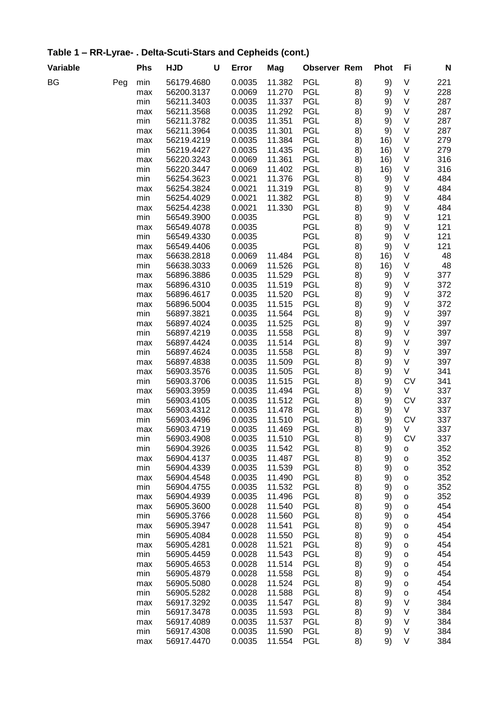| Table 1 – RR-Lyrae- . Delta-Scuti-Stars and Cepheids (cont.) |     |     |         |     |              |
|--------------------------------------------------------------|-----|-----|---------|-----|--------------|
| Variable                                                     | Phs | HJD | U Error | Mag | Observer Rem |

| Variable |     | <b>Phs</b> | <b>HJD</b>               | U | Error            | Mag              | <b>Observer Rem</b>      |          | <b>Phot</b> | Fi                           | N          |
|----------|-----|------------|--------------------------|---|------------------|------------------|--------------------------|----------|-------------|------------------------------|------------|
| BG       | Peg | min        | 56179.4680               |   | 0.0035           | 11.382           | <b>PGL</b>               | 8)       | 9)          | V                            | 221        |
|          |     | max        | 56200.3137               |   | 0.0069           | 11.270           | <b>PGL</b>               | 8)       | 9)          | V                            | 228        |
|          |     | min        | 56211.3403               |   | 0.0035           | 11.337           | <b>PGL</b>               | 8)       | 9)          | V                            | 287        |
|          |     | max        | 56211.3568               |   | 0.0035           | 11.292           | <b>PGL</b>               | 8)       | 9)          | V                            | 287        |
|          |     | min        | 56211.3782               |   | 0.0035           | 11.351           | <b>PGL</b>               | 8)       | 9)          | V                            | 287        |
|          |     | max        | 56211.3964               |   | 0.0035           | 11.301           | <b>PGL</b>               | 8)       | 9)          | $\sf V$                      | 287        |
|          |     | max        | 56219.4219               |   | 0.0035           | 11.384           | <b>PGL</b>               | 8)       | 16)         | V                            | 279        |
|          |     | min        | 56219.4427               |   | 0.0035           | 11.435           | <b>PGL</b>               | 8)       | 16)         | V                            | 279        |
|          |     | max        | 56220.3243               |   | 0.0069           | 11.361           | <b>PGL</b>               | 8)       | 16)         | V                            | 316        |
|          |     | min        | 56220.3447               |   | 0.0069           | 11.402           | <b>PGL</b>               | 8)       | 16)         | V                            | 316        |
|          |     | min        | 56254.3623               |   | 0.0021           | 11.376           | <b>PGL</b>               | 8)       | 9)          | V                            | 484        |
|          |     | max        | 56254.3824               |   | 0.0021           | 11.319           | <b>PGL</b>               | 8)       | 9)          | V                            | 484        |
|          |     | min        | 56254.4029               |   | 0.0021           | 11.382           | <b>PGL</b>               | 8)       | 9)          | $\sf V$                      | 484        |
|          |     | max        | 56254.4238               |   | 0.0021           | 11.330           | <b>PGL</b>               | 8)       | 9)          | V                            | 484        |
|          |     | min        | 56549.3900               |   | 0.0035           |                  | <b>PGL</b>               | 8)       | 9)          | $\sf V$                      | 121        |
|          |     | max        | 56549.4078<br>56549.4330 |   | 0.0035           |                  | <b>PGL</b><br><b>PGL</b> | 8)       | 9)          | V<br>V                       | 121<br>121 |
|          |     | min        |                          |   | 0.0035<br>0.0035 |                  | <b>PGL</b>               | 8)       | 9)          | V                            | 121        |
|          |     | max        | 56549.4406<br>56638.2818 |   | 0.0069           | 11.484           | <b>PGL</b>               | 8)       | 9)          | V                            | 48         |
|          |     | max<br>min | 56638.3033               |   | 0.0069           | 11.526           | <b>PGL</b>               | 8)<br>8) | 16)<br>16)  | V                            | 48         |
|          |     | max        | 56896.3886               |   | 0.0035           | 11.529           | <b>PGL</b>               | 8)       | 9)          | V                            | 377        |
|          |     | max        | 56896.4310               |   | 0.0035           | 11.519           | <b>PGL</b>               | 8)       | 9)          | V                            | 372        |
|          |     | max        | 56896.4617               |   | 0.0035           | 11.520           | <b>PGL</b>               | 8)       | 9)          | V                            | 372        |
|          |     | max        | 56896.5004               |   | 0.0035           | 11.515           | <b>PGL</b>               | 8)       | 9)          | V                            | 372        |
|          |     | min        | 56897.3821               |   | 0.0035           | 11.564           | <b>PGL</b>               | 8)       | 9)          | V                            | 397        |
|          |     | max        | 56897.4024               |   | 0.0035           | 11.525           | <b>PGL</b>               | 8)       | 9)          | V                            | 397        |
|          |     | min        | 56897.4219               |   | 0.0035           | 11.558           | <b>PGL</b>               | 8)       | 9)          | $\sf V$                      | 397        |
|          |     | max        | 56897.4424               |   | 0.0035           | 11.514           | <b>PGL</b>               | 8)       | 9)          | V                            | 397        |
|          |     | min        | 56897.4624               |   | 0.0035           | 11.558           | <b>PGL</b>               | 8)       | 9)          | V                            | 397        |
|          |     | max        | 56897.4838               |   | 0.0035           | 11.509           | <b>PGL</b>               | 8)       | 9)          | V                            | 397        |
|          |     | max        | 56903.3576               |   | 0.0035           | 11.505           | <b>PGL</b>               | 8)       | 9)          | V                            | 341        |
|          |     | min        | 56903.3706               |   | 0.0035           | 11.515           | <b>PGL</b>               | 8)       | 9)          | <b>CV</b>                    | 341        |
|          |     | max        | 56903.3959               |   | 0.0035           | 11.494           | <b>PGL</b>               | 8)       | 9)          | V                            | 337        |
|          |     | min        | 56903.4105               |   | 0.0035           | 11.512           | <b>PGL</b>               | 8)       | 9)          | <b>CV</b>                    | 337        |
|          |     | max        | 56903.4312               |   | 0.0035           | 11.478           | <b>PGL</b>               | 8)       | 9)          | V                            | 337        |
|          |     | min        | 56903.4496               |   | 0.0035           | 11.510           | <b>PGL</b>               | 8)       | 9)          | <b>CV</b>                    | 337        |
|          |     | max        | 56903.4719               |   | 0.0035           | 11.469           | <b>PGL</b>               | 8)       | 9)          | V                            | 337        |
|          |     | min        | 56903.4908               |   | 0.0035           | 11.510           | <b>PGL</b>               | 8)       | 9)          | ${\sf CV}$                   | 337        |
|          |     | min        | 56904.3926               |   | 0.0035           | 11.542           | <b>PGL</b>               | 8)       | 9)          | $\mathsf{o}$                 | 352        |
|          |     | max        | 56904.4137               |   | 0.0035           | 11.487           | <b>PGL</b>               | 8)       | 9)          | $\mathsf{o}$                 | 352        |
|          |     | min        | 56904.4339               |   | 0.0035           | 11.539           | <b>PGL</b>               | 8)       | 9)          | $\mathsf{o}$                 | 352        |
|          |     | max        | 56904.4548               |   | 0.0035           | 11.490           | <b>PGL</b>               | 8)       | 9)          | $\mathsf{o}$                 | 352        |
|          |     | min        | 56904.4755               |   | 0.0035           | 11.532           | <b>PGL</b>               | 8)       | 9)          | $\mathsf{o}$                 | 352        |
|          |     | max        | 56904.4939               |   | 0.0035           | 11.496           | <b>PGL</b>               | 8)       | 9)          | $\mathsf{o}$                 | 352        |
|          |     | max        | 56905.3600               |   | 0.0028           | 11.540           | <b>PGL</b>               | 8)       | 9)          | $\mathsf{o}$                 | 454        |
|          |     | min        | 56905.3766               |   | 0.0028           | 11.560           | <b>PGL</b>               | 8)       | 9)          | $\mathsf{o}$                 | 454        |
|          |     | max        | 56905.3947               |   | 0.0028<br>0.0028 | 11.541<br>11.550 | <b>PGL</b><br><b>PGL</b> | 8)       | 9)          | $\mathsf{o}$                 | 454<br>454 |
|          |     | min        | 56905.4084<br>56905.4281 |   | 0.0028           | 11.521           | <b>PGL</b>               | 8)<br>8) | 9)<br>9)    | $\mathsf{o}$                 | 454        |
|          |     | max<br>min | 56905.4459               |   | 0.0028           | 11.543           | <b>PGL</b>               | 8)       | 9)          | $\mathsf{o}$                 | 454        |
|          |     | max        | 56905.4653               |   | 0.0028           | 11.514           | <b>PGL</b>               | 8)       | 9)          | $\mathsf{o}$<br>$\mathsf{o}$ | 454        |
|          |     | min        | 56905.4879               |   | 0.0028           | 11.558           | <b>PGL</b>               | 8)       | 9)          | $\mathsf{o}$                 | 454        |
|          |     | max        | 56905.5080               |   | 0.0028           | 11.524           | <b>PGL</b>               | 8)       | 9)          | $\mathsf{o}$                 | 454        |
|          |     | min        | 56905.5282               |   | 0.0028           | 11.588           | <b>PGL</b>               | 8)       | 9)          | $\mathsf{o}$                 | 454        |
|          |     | max        | 56917.3292               |   | 0.0035           | 11.547           | <b>PGL</b>               | 8)       | 9)          | V                            | 384        |
|          |     | min        | 56917.3478               |   | 0.0035           | 11.593           | <b>PGL</b>               | 8)       | 9)          | V                            | 384        |
|          |     | max        | 56917.4089               |   | 0.0035           | 11.537           | <b>PGL</b>               | 8)       | 9)          | V                            | 384        |
|          |     | min        | 56917.4308               |   | 0.0035           | 11.590           | <b>PGL</b>               | 8)       | 9)          | V                            | 384        |
|          |     | max        | 56917.4470               |   | 0.0035           | 11.554           | <b>PGL</b>               | 8)       | 9)          | V                            | 384        |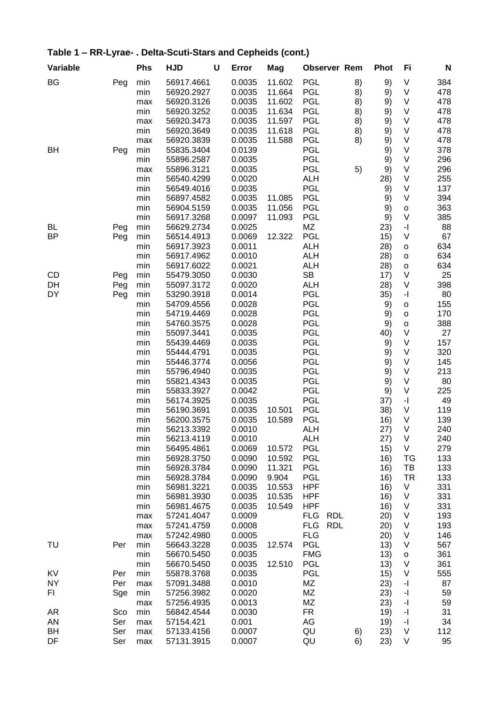| Variable  |     | <b>Phs</b> | <b>HJD</b> | U | Error  | Mag    | <b>Observer Rem</b>      |    | <b>Phot</b> | Fi                                          | N   |
|-----------|-----|------------|------------|---|--------|--------|--------------------------|----|-------------|---------------------------------------------|-----|
| BG        | Peg | min        | 56917.4661 |   | 0.0035 | 11.602 | PGL                      | 8) | 9)          | $\sf V$                                     | 384 |
|           |     | min        | 56920.2927 |   | 0.0035 | 11.664 | PGL                      | 8) | 9)          | $\sf V$                                     | 478 |
|           |     | max        | 56920.3126 |   | 0.0035 | 11.602 | PGL                      | 8) | 9)          | $\sf V$                                     | 478 |
|           |     | min        | 56920.3252 |   | 0.0035 | 11.634 | <b>PGL</b>               | 8) | 9)          | V                                           | 478 |
|           |     | max        | 56920.3473 |   | 0.0035 | 11.597 | <b>PGL</b>               | 8) | 9)          | V                                           | 478 |
|           |     | min        | 56920.3649 |   | 0.0035 | 11.618 | PGL                      | 8) | 9)          | V                                           | 478 |
|           |     | max        | 56920.3839 |   | 0.0035 | 11.588 | <b>PGL</b>               | 8) | 9)          | V                                           | 478 |
| BH        | Peg | min        | 55835.3404 |   | 0.0139 |        | <b>PGL</b>               |    | 9)          | V                                           | 378 |
|           |     | min        | 55896.2587 |   | 0.0035 |        | <b>PGL</b>               |    | 9)          | V                                           | 296 |
|           |     | max        | 55896.3121 |   | 0.0035 |        | <b>PGL</b>               | 5) | 9)          | $\sf V$                                     | 296 |
|           |     | min        | 56540.4299 |   | 0.0020 |        | <b>ALH</b>               |    | 28)         | V                                           | 255 |
|           |     | min        | 56549.4016 |   | 0.0035 |        | <b>PGL</b>               |    | 9)          | $\sf V$                                     | 137 |
|           |     | min        | 56897.4582 |   | 0.0035 | 11.085 | PGL                      |    | 9)          | $\vee$                                      | 394 |
|           |     | min        | 56904.5159 |   | 0.0035 | 11.056 | <b>PGL</b>               |    | 9)          | $\mathsf{o}$                                | 363 |
|           |     | min        | 56917.3268 |   | 0.0097 | 11.093 | PGL                      |    | 9)          | V                                           | 385 |
| BL        | Peg | min        | 56629.2734 |   | 0.0025 |        | ΜZ                       |    | 23)         | $\mathord{\text{-}} \mathord{\text{\rm l}}$ | 88  |
| <b>BP</b> | Peg | min        | 56514.4913 |   | 0.0069 | 12.322 | <b>PGL</b>               |    | 15)         | V                                           | 67  |
|           |     | min        | 56917.3923 |   | 0.0011 |        | <b>ALH</b>               |    | 28)         | $\mathsf{o}$                                | 634 |
|           |     | min        | 56917.4962 |   | 0.0010 |        | <b>ALH</b>               |    | 28)         | $\mathsf{o}$                                | 634 |
|           |     | min        | 56917.6022 |   | 0.0021 |        | <b>ALH</b>               |    | 28)         | o                                           | 634 |
| <b>CD</b> | Peg | min        | 55479.3050 |   | 0.0030 |        | <b>SB</b>                |    | 17)         | V                                           | 25  |
| DH        | Peg | min        | 55097.3172 |   | 0.0020 |        | <b>ALH</b>               |    | 28)         | $\sf V$                                     | 398 |
| DY        | Peg | min        | 53290.3918 |   | 0.0014 |        | <b>PGL</b>               |    | 35)         | $\mathbf{-} \mathbf{I}$                     | 80  |
|           |     | min        | 54709.4556 |   | 0.0028 |        | <b>PGL</b>               |    | 9)          | $\mathsf{o}$                                | 155 |
|           |     | min        | 54719.4469 |   | 0.0028 |        | <b>PGL</b>               |    | 9)          | $\mathsf{o}$                                | 170 |
|           |     | min        | 54760.3575 |   | 0.0028 |        | <b>PGL</b>               |    | 9)          | $\mathsf{o}$                                | 388 |
|           |     | min        | 55097.3441 |   | 0.0035 |        | <b>PGL</b>               |    | 40)         | V                                           | 27  |
|           |     | min        | 55439.4469 |   | 0.0035 |        | <b>PGL</b>               |    | 9)          | V                                           | 157 |
|           |     | min        | 55444.4791 |   | 0.0035 |        | <b>PGL</b>               |    | 9)          | V                                           | 320 |
|           |     | min        | 55446.3774 |   | 0.0056 |        | <b>PGL</b>               |    | 9)          | V                                           | 145 |
|           |     | min        | 55796.4940 |   | 0.0035 |        | <b>PGL</b>               |    | 9)          | V                                           | 213 |
|           |     | min        | 55821.4343 |   | 0.0035 |        | <b>PGL</b>               |    | 9)          | V                                           | 80  |
|           |     | min        | 55833.3927 |   | 0.0042 |        | <b>PGL</b>               |    | 9)          | V                                           | 225 |
|           |     | min        | 56174.3925 |   | 0.0035 |        | PGL                      |    | 37)         | $\mathord{\text{-}} \mathord{\text{\rm l}}$ | 49  |
|           |     | min        | 56190.3691 |   | 0.0035 | 10.501 | <b>PGL</b>               |    | 38)         | $\sf V$                                     | 119 |
|           |     | min        | 56200.3575 |   | 0.0035 | 10.589 | <b>PGL</b>               |    | 16)         | $\sf V$                                     | 139 |
|           |     | min        | 56213.3392 |   | 0.0010 |        | <b>ALH</b>               |    | 27)         | V                                           | 240 |
|           |     | min        | 56213.4119 |   | 0.0010 |        | <b>ALH</b>               |    | 27)         | V                                           | 240 |
|           |     | min        | 56495.4861 |   | 0.0069 | 10.572 | <b>PGL</b>               |    | 15)         | V                                           | 279 |
|           |     | min        | 56928.3750 |   | 0.0090 | 10.592 | <b>PGL</b>               |    | 16)         | TG                                          | 133 |
|           |     | min        | 56928.3784 |   | 0.0090 | 11.321 | <b>PGL</b>               |    | 16)         | TB                                          | 133 |
|           |     | min        | 56928.3784 |   | 0.0090 | 9.904  | <b>PGL</b>               |    | 16)         | TR                                          | 133 |
|           |     | min        | 56981.3221 |   | 0.0035 | 10.553 | <b>HPF</b>               |    | 16)         | V                                           | 331 |
|           |     | min        | 56981.3930 |   | 0.0035 | 10.535 | <b>HPF</b>               |    | 16)         | V                                           | 331 |
|           |     | min        | 56981.4675 |   | 0.0035 | 10.549 | <b>HPF</b>               |    | 16)         | V                                           | 331 |
|           |     | max        | 57241.4047 |   | 0.0009 |        | <b>FLG</b><br><b>RDL</b> |    | 20)         | $\sf V$                                     | 193 |
|           |     | max        | 57241.4759 |   | 0.0008 |        | <b>FLG</b><br><b>RDL</b> |    | (20)        | $\sf V$                                     | 193 |
|           |     | max        | 57242.4980 |   | 0.0005 |        | <b>FLG</b>               |    | (20)        | V                                           | 146 |
| TU        | Per | min        | 56643.3228 |   | 0.0035 | 12.574 | <b>PGL</b>               |    | 13)         | V                                           | 567 |
|           |     | min        | 56670.5450 |   | 0.0035 |        | <b>FMG</b>               |    | 13)         | $\mathsf{o}$                                | 361 |
|           |     | min        | 56670.5450 |   | 0.0035 | 12.510 | <b>PGL</b>               |    | 13)         | V                                           | 361 |
| KV        | Per | min        | 55878.3768 |   | 0.0035 |        | <b>PGL</b>               |    | 15)         | V                                           | 555 |
| <b>NY</b> | Per | max        | 57091.3488 |   | 0.0010 |        | ΜZ                       |    | 23)         | -1                                          | 87  |
| FI.       | Sge | min        | 57256.3982 |   | 0.0020 |        | ΜZ                       |    | 23)         | -1                                          | 59  |
|           |     | max        | 57256.4935 |   | 0.0013 |        | MZ                       |    | 23)         | -1                                          | 59  |
| AR        | Sco | min        | 56842.4544 |   | 0.0030 |        | <b>FR</b>                |    | 19)         | -1                                          | 31  |
| AN        | Ser | max        | 57154.421  |   | 0.001  |        | AG                       |    | 19)         | $\mathbf{-} \Vert$                          | 34  |
| BH        | Ser | max        | 57133.4156 |   | 0.0007 |        | QU                       | 6) | 23)         | V                                           | 112 |
| DF        | Ser | max        | 57131.3915 |   | 0.0007 |        | QU                       | 6) | 23)         | V                                           | 95  |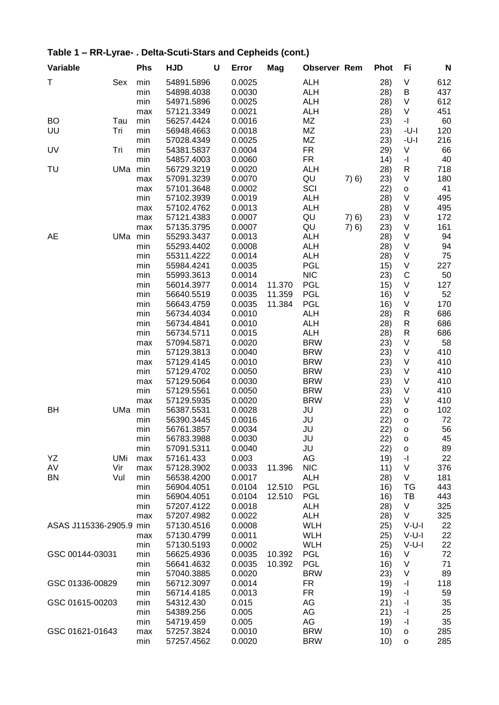| Variable            |            | <b>Phs</b>        | <b>HJD</b>                             | U | Error                      | Mag    | <b>Observer Rem</b>                    |       | <b>Phot</b>       | Fi                                                    | N                 |
|---------------------|------------|-------------------|----------------------------------------|---|----------------------------|--------|----------------------------------------|-------|-------------------|-------------------------------------------------------|-------------------|
| Τ                   | Sex        | min<br>min<br>min | 54891.5896<br>54898.4038<br>54971.5896 |   | 0.0025<br>0.0030<br>0.0025 |        | <b>ALH</b><br><b>ALH</b><br><b>ALH</b> |       | 28)<br>28)<br>28) | V<br>Β<br>V                                           | 612<br>437<br>612 |
|                     |            | max               | 57121.3349                             |   | 0.0021                     |        | <b>ALH</b>                             |       | 28)               | V                                                     | 451               |
| <b>BO</b><br>UU     | Tau<br>Tri | min<br>min        | 56257.4424<br>56948.4663               |   | 0.0016<br>0.0018           |        | MZ<br>MZ                               |       | 23)               | $\mathord{\text{-}} \mathord{\text{\rm l}}$<br>$-U-I$ | 60<br>120         |
|                     |            | min               | 57028.4349                             |   | 0.0025                     |        | MZ                                     |       | 23)<br>23)        | $-U-I$                                                | 216               |
| UV                  | Tri        | min               | 54381.5837                             |   | 0.0004                     |        | FR                                     |       | 29)               | V                                                     | 66                |
|                     |            | min               | 54857.4003                             |   | 0.0060                     |        | <b>FR</b>                              |       | 14)               | $\overline{\phantom{a}}$                              | 40                |
| TU                  | UMa        | min               | 56729.3219                             |   | 0.0020                     |        | <b>ALH</b>                             |       | 28)               | $\sf R$                                               | 718               |
|                     |            | max               | 57091.3239                             |   | 0.0070                     |        | QU                                     | 7) 6) | 23)               | V                                                     | 180               |
|                     |            | max               | 57101.3648                             |   | 0.0002                     |        | SCI                                    |       | 22)               | $\mathsf{o}$                                          | 41                |
|                     |            | min               | 57102.3939                             |   | 0.0019                     |        | <b>ALH</b>                             |       | 28)               | $\vee$                                                | 495               |
|                     |            | max               | 57102.4762                             |   | 0.0013                     |        | <b>ALH</b>                             |       | 28)               | $\sf V$                                               | 495               |
|                     |            | max               | 57121.4383                             |   | 0.0007                     |        | QU                                     | 7(6)  | 23)               | V                                                     | 172               |
|                     |            | max               | 57135.3795                             |   | 0.0007                     |        | QU                                     | 7(6)  | 23)               | V                                                     | 161               |
| AE                  | UMa        | min               | 55293.3437                             |   | 0.0013                     |        | <b>ALH</b>                             |       | 28)               | V                                                     | 94                |
|                     |            | min               | 55293.4402                             |   | 0.0008                     |        | <b>ALH</b>                             |       | 28)               | $\sf V$                                               | 94                |
|                     |            | min               | 55311.4222                             |   | 0.0014                     |        | <b>ALH</b>                             |       | 28)               | V                                                     | 75                |
|                     |            | min               | 55984.4241                             |   | 0.0035                     |        | <b>PGL</b>                             |       | 15)               | V                                                     | 227               |
|                     |            | min               | 55993.3613                             |   | 0.0014                     |        | <b>NIC</b>                             |       | 23)               | $\mathsf C$                                           | 50                |
|                     |            | min               | 56014.3977                             |   | 0.0014                     | 11.370 | PGL                                    |       | 15)               | $\sf V$                                               | 127               |
|                     |            | min               | 56640.5519                             |   | 0.0035                     | 11.359 | <b>PGL</b>                             |       | 16)               | $\sf V$<br>$\sf V$                                    | 52                |
|                     |            | min<br>min        | 56643.4759<br>56734.4034               |   | 0.0035<br>0.0010           | 11.384 | <b>PGL</b><br><b>ALH</b>               |       | 16)               | $\sf R$                                               | 170<br>686        |
|                     |            | min               | 56734.4841                             |   | 0.0010                     |        | <b>ALH</b>                             |       | 28)<br>28)        | R                                                     | 686               |
|                     |            | min               | 56734.5711                             |   | 0.0015                     |        | <b>ALH</b>                             |       | 28)               | $\mathsf{R}$                                          | 686               |
|                     |            | max               | 57094.5871                             |   | 0.0020                     |        | <b>BRW</b>                             |       | 23)               | V                                                     | 58                |
|                     |            | min               | 57129.3813                             |   | 0.0040                     |        | <b>BRW</b>                             |       | 23)               | $\sf V$                                               | 410               |
|                     |            | max               | 57129.4145                             |   | 0.0010                     |        | <b>BRW</b>                             |       | 23)               | $\sf V$                                               | 410               |
|                     |            | min               | 57129.4702                             |   | 0.0050                     |        | <b>BRW</b>                             |       | 23)               | V                                                     | 410               |
|                     |            | max               | 57129.5064                             |   | 0.0030                     |        | <b>BRW</b>                             |       | 23)               | $\sf V$                                               | 410               |
|                     |            | min               | 57129.5561                             |   | 0.0050                     |        | <b>BRW</b>                             |       | 23)               | $\sf V$                                               | 410               |
|                     |            | max               | 57129.5935                             |   | 0.0020                     |        | <b>BRW</b>                             |       | 23)               | $\vee$                                                | 410               |
| BH                  | UMa        | min               | 56387.5531                             |   | 0.0028                     |        | JU                                     |       | 22)               | $\mathsf{o}$                                          | 102               |
|                     |            | min               | 56390.3445                             |   | 0.0016                     |        | JU                                     |       | 22)               | $\mathsf{o}$                                          | 72                |
|                     |            | min               | 56761.3857                             |   | 0.0034                     |        | JU                                     |       | 22)               | $\mathsf{o}$                                          | 56                |
|                     |            | min               | 56783.3988                             |   | 0.0030                     |        | JU                                     |       | 22)               | o                                                     | 45                |
|                     |            | min               | 57091.5311                             |   | 0.0040                     |        | JU                                     |       | 22)               | $\mathsf{o}$                                          | 89                |
| YΖ                  | UMi        | max               | 57161.433                              |   | 0.003                      |        | AG                                     |       | 19)               | $\mathord{\text{-}} \mathord{\text{\rm l}}$           | 22                |
| AV                  | Vir        | max               | 57128.3902                             |   | 0.0033                     | 11.396 | <b>NIC</b>                             |       | 11)               | V                                                     | 376               |
| BN                  | Vul        | min               | 56538.4200                             |   | 0.0017                     |        | <b>ALH</b>                             |       | 28)               | V                                                     | 181               |
|                     |            | min               | 56904.4051                             |   | 0.0104                     | 12.510 | <b>PGL</b><br><b>PGL</b>               |       | 16)               | TG<br>TB                                              | 443               |
|                     |            | min<br>min        | 56904.4051<br>57207.4122               |   | 0.0104<br>0.0018           | 12.510 | <b>ALH</b>                             |       | 16)<br>28)        | V                                                     | 443<br>325        |
|                     |            | max               | 57207.4982                             |   | 0.0022                     |        | <b>ALH</b>                             |       | 28)               | V                                                     | 325               |
| ASAS J115336-2905.9 |            | min               | 57130.4516                             |   | 0.0008                     |        | <b>WLH</b>                             |       | 25)               | $V-U-I$                                               | 22                |
|                     |            | max               | 57130.4799                             |   | 0.0011                     |        | <b>WLH</b>                             |       | 25)               | $V-U-I$                                               | 22                |
|                     |            | min               | 57130.5193                             |   | 0.0002                     |        | <b>WLH</b>                             |       | 25)               | $V-U-I$                                               | 22                |
| GSC 00144-03031     |            | min               | 56625.4936                             |   | 0.0035                     | 10.392 | <b>PGL</b>                             |       | 16)               | V                                                     | 72                |
|                     |            | min               | 56641.4632                             |   | 0.0035                     | 10.392 | <b>PGL</b>                             |       | 16)               | V                                                     | 71                |
|                     |            | min               | 57040.3885                             |   | 0.0020                     |        | <b>BRW</b>                             |       | 23)               | V                                                     | 89                |
| GSC 01336-00829     |            | min               | 56712.3097                             |   | 0.0014                     |        | FR                                     |       | 19)               | -1                                                    | 118               |
|                     |            | min               | 56714.4185                             |   | 0.0013                     |        | FR                                     |       | 19)               | $\mathbf{-} \Vert$                                    | 59                |
| GSC 01615-00203     |            | min               | 54312.430                              |   | 0.015                      |        | AG                                     |       | 21)               | $\mathbf{-} \mathbf{I}$                               | 35                |
|                     |            | min               | 54389.256                              |   | 0.005                      |        | AG                                     |       | 21)               | $\mathbf{-} \Vert$                                    | 25                |
|                     |            | min               | 54719.459                              |   | 0.005                      |        | AG                                     |       | 19)               | $\mathbf{-} \Vert$                                    | 35                |
| GSC 01621-01643     |            | max               | 57257.3824                             |   | 0.0010                     |        | <b>BRW</b>                             |       | 10)               | $\mathsf{o}$                                          | 285               |
|                     |            | min               | 57257.4562                             |   | 0.0020                     |        | <b>BRW</b>                             |       | 10)               | o                                                     | 285               |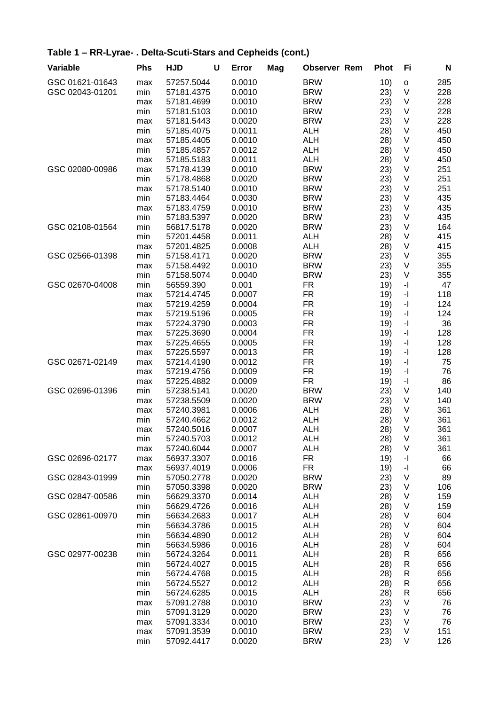| <b>Variable</b> | Phs | <b>HJD</b> | U | Error  | Mag | <b>Observer Rem</b> | <b>Phot</b> | Fi                       | N   |
|-----------------|-----|------------|---|--------|-----|---------------------|-------------|--------------------------|-----|
| GSC 01621-01643 | max | 57257.5044 |   | 0.0010 |     | <b>BRW</b>          | 10)         | $\mathsf{o}\xspace$      | 285 |
| GSC 02043-01201 | min | 57181.4375 |   | 0.0010 |     | <b>BRW</b>          | 23)         | $\vee$                   | 228 |
|                 | max | 57181.4699 |   | 0.0010 |     | <b>BRW</b>          | 23)         | $\vee$                   | 228 |
|                 | min | 57181.5103 |   | 0.0010 |     | <b>BRW</b>          | 23)         | $\sf V$                  | 228 |
|                 | max | 57181.5443 |   | 0.0020 |     | <b>BRW</b>          | 23)         | V                        | 228 |
|                 | min | 57185.4075 |   | 0.0011 |     | <b>ALH</b>          | 28)         | V                        | 450 |
|                 | max | 57185.4405 |   | 0.0010 |     | <b>ALH</b>          | 28)         | $\vee$                   | 450 |
|                 | min | 57185.4857 |   | 0.0012 |     | <b>ALH</b>          | 28)         | V                        | 450 |
|                 | max | 57185.5183 |   | 0.0011 |     | <b>ALH</b>          | 28)         | V                        | 450 |
| GSC 02080-00986 | max | 57178.4139 |   | 0.0010 |     | <b>BRW</b>          | 23)         | $\vee$                   | 251 |
|                 | min | 57178.4868 |   | 0.0020 |     | <b>BRW</b>          | 23)         | V                        | 251 |
|                 | max | 57178.5140 |   | 0.0010 |     | <b>BRW</b>          | 23)         | V                        | 251 |
|                 | min | 57183.4464 |   | 0.0030 |     | <b>BRW</b>          | 23)         | V                        | 435 |
|                 | max | 57183.4759 |   | 0.0010 |     | <b>BRW</b>          | 23)         | V                        | 435 |
|                 | min | 57183.5397 |   | 0.0020 |     | <b>BRW</b>          | 23)         | V                        | 435 |
| GSC 02108-01564 | min | 56817.5178 |   | 0.0020 |     | <b>BRW</b>          | 23)         | V                        | 164 |
|                 | min | 57201.4458 |   | 0.0011 |     | <b>ALH</b>          | 28)         | V                        | 415 |
|                 | max | 57201.4825 |   | 0.0008 |     | <b>ALH</b>          | 28)         | V                        | 415 |
| GSC 02566-01398 | min | 57158.4171 |   | 0.0020 |     | <b>BRW</b>          | 23)         | V                        | 355 |
|                 | max | 57158.4492 |   | 0.0010 |     | <b>BRW</b>          | 23)         | V                        | 355 |
|                 | min | 57158.5074 |   | 0.0040 |     | <b>BRW</b>          | 23)         | V                        | 355 |
| GSC 02670-04008 | min | 56559.390  |   | 0.001  |     | <b>FR</b>           | 19)         | $\overline{\phantom{a}}$ | 47  |
|                 | max | 57214.4745 |   | 0.0007 |     | <b>FR</b>           | 19)         | $\mathbf{I}$             | 118 |
|                 | max | 57219.4259 |   | 0.0004 |     | <b>FR</b>           | 19)         | $\mathbf{I}$             | 124 |
|                 | max | 57219.5196 |   | 0.0005 |     | FR                  | 19)         | $\overline{\phantom{a}}$ | 124 |
|                 | max | 57224.3790 |   | 0.0003 |     | FR                  | 19)         | $\mathbf{I}$             | 36  |
|                 | max | 57225.3690 |   | 0.0004 |     | <b>FR</b>           | 19)         | $\mathbf{I}$             | 128 |
|                 | max | 57225.4655 |   | 0.0005 |     | <b>FR</b>           | 19)         | $\mathbf{I}$             | 128 |
|                 | max | 57225.5597 |   | 0.0013 |     | <b>FR</b>           | 19)         | $\mathbf{I}$             | 128 |
| GSC 02671-02149 | max | 57214.4190 |   | 0.0012 |     | <b>FR</b>           | 19)         | $-1$                     | 75  |
|                 | max | 57219.4756 |   | 0.0009 |     | <b>FR</b>           | 19)         | $\overline{\phantom{a}}$ | 76  |
|                 | max | 57225.4882 |   | 0.0009 |     | <b>FR</b>           | 19)         | $\mathbf{I}$             | 86  |
| GSC 02696-01396 | min | 57238.5141 |   | 0.0020 |     | <b>BRW</b>          | 23)         | $\vee$                   | 140 |
|                 | max | 57238.5509 |   | 0.0020 |     | <b>BRW</b>          | 23)         | $\vee$                   | 140 |
|                 | max | 57240.3981 |   | 0.0006 |     | <b>ALH</b>          | 28)         | $\vee$                   | 361 |
|                 | min | 57240.4662 |   | 0.0012 |     | <b>ALH</b>          | 28)         | $\vee$                   | 361 |
|                 | max | 57240.5016 |   | 0.0007 |     | <b>ALH</b>          | 28)         | $\vee$                   | 361 |
|                 | min | 57240.5703 |   | 0.0012 |     | <b>ALH</b>          | 28)         | $\vee$                   | 361 |
|                 | max | 57240.6044 |   | 0.0007 |     | <b>ALH</b>          | 28)         | V                        | 361 |
| GSC 02696-02177 | max | 56937.3307 |   | 0.0016 |     | FR                  | 19)         | $\mathbf{I}$             | 66  |
|                 | max | 56937.4019 |   | 0.0006 |     | FR                  | 19)         | -1                       | 66  |
| GSC 02843-01999 | min | 57050.2778 |   | 0.0020 |     | <b>BRW</b>          | 23)         | V                        | 89  |
|                 | min | 57050.3398 |   | 0.0020 |     | <b>BRW</b>          | 23)         | $\sf V$                  | 106 |
| GSC 02847-00586 | min | 56629.3370 |   | 0.0014 |     | <b>ALH</b>          | 28)         | V                        | 159 |
|                 | min | 56629.4726 |   | 0.0016 |     | <b>ALH</b>          | 28)         | $\sf V$                  | 159 |
| GSC 02861-00970 | min | 56634.2683 |   | 0.0017 |     | <b>ALH</b>          | 28)         | $\sf V$                  | 604 |
|                 | min | 56634.3786 |   | 0.0015 |     | <b>ALH</b>          | 28)         | $\sf V$                  | 604 |
|                 | min | 56634.4890 |   | 0.0012 |     | <b>ALH</b>          | 28)         | $\sf V$                  | 604 |
|                 | min | 56634.5986 |   | 0.0016 |     | <b>ALH</b>          | 28)         | V                        | 604 |
| GSC 02977-00238 | min | 56724.3264 |   | 0.0011 |     | <b>ALH</b>          | 28)         | R                        | 656 |
|                 | min | 56724.4027 |   | 0.0015 |     | <b>ALH</b>          | 28)         | R                        | 656 |
|                 | min | 56724.4768 |   | 0.0015 |     | <b>ALH</b>          | 28)         | R                        | 656 |
|                 | min | 56724.5527 |   | 0.0012 |     | <b>ALH</b>          | 28)         | R                        | 656 |
|                 | min | 56724.6285 |   | 0.0015 |     | <b>ALH</b>          | 28)         | $\mathsf{R}$             | 656 |
|                 | max | 57091.2788 |   | 0.0010 |     | <b>BRW</b>          | 23)         | V                        | 76  |
|                 | min | 57091.3129 |   | 0.0020 |     | <b>BRW</b>          | 23)         | V                        | 76  |
|                 | max | 57091.3334 |   | 0.0010 |     | <b>BRW</b>          | 23)         | $\sf V$                  | 76  |
|                 | max | 57091.3539 |   | 0.0010 |     | <b>BRW</b>          | 23)         | $\sf V$                  | 151 |
|                 | min | 57092.4417 |   | 0.0020 |     | <b>BRW</b>          | 23)         | $\sf V$                  | 126 |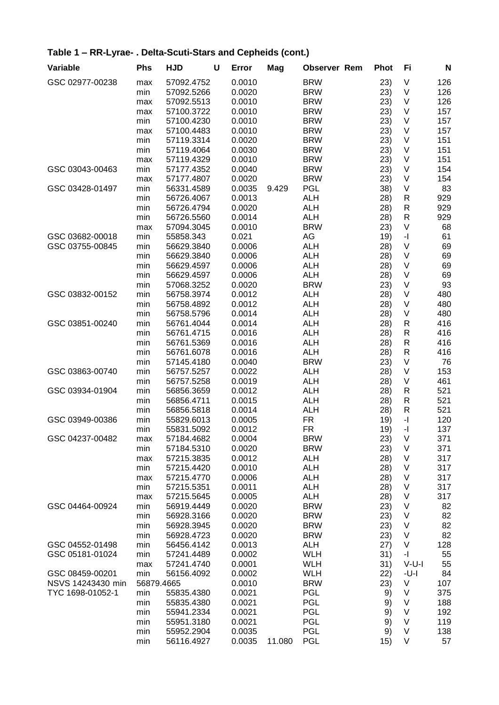| Variable          | <b>Phs</b> | <b>HJD</b> | $\mathbf U$ | Error  | Mag    | <b>Observer Rem</b> | <b>Phot</b> | Fi                                          | N   |
|-------------------|------------|------------|-------------|--------|--------|---------------------|-------------|---------------------------------------------|-----|
| GSC 02977-00238   | max        | 57092.4752 |             | 0.0010 |        | <b>BRW</b>          | 23)         | $\vee$                                      | 126 |
|                   | min        | 57092.5266 |             | 0.0020 |        | <b>BRW</b>          | 23)         | $\vee$                                      | 126 |
|                   | max        | 57092.5513 |             | 0.0010 |        | <b>BRW</b>          | 23)         | $\vee$                                      | 126 |
|                   | max        | 57100.3722 |             | 0.0010 |        | <b>BRW</b>          | 23)         | $\vee$                                      | 157 |
|                   | min        | 57100.4230 |             | 0.0010 |        | <b>BRW</b>          | 23)         | $\vee$                                      | 157 |
|                   | max        | 57100.4483 |             | 0.0010 |        | <b>BRW</b>          | 23)         | $\vee$                                      | 157 |
|                   | min        | 57119.3314 |             | 0.0020 |        | <b>BRW</b>          | 23)         | $\vee$                                      | 151 |
|                   | min        | 57119.4064 |             | 0.0030 |        | <b>BRW</b>          | 23)         | $\vee$                                      | 151 |
|                   | max        | 57119.4329 |             | 0.0010 |        | <b>BRW</b>          | 23)         | V                                           | 151 |
| GSC 03043-00463   | min        | 57177.4352 |             | 0.0040 |        | <b>BRW</b>          | 23)         | V                                           | 154 |
|                   | max        | 57177.4807 |             | 0.0020 |        | <b>BRW</b>          | 23)         | $\vee$                                      | 154 |
| GSC 03428-01497   | min        | 56331.4589 |             | 0.0035 | 9.429  | <b>PGL</b>          | 38)         | $\vee$                                      | 83  |
|                   | min        | 56726.4067 |             | 0.0013 |        | <b>ALH</b>          | 28)         | $\mathsf{R}$                                | 929 |
|                   | min        | 56726.4794 |             | 0.0020 |        | <b>ALH</b>          | 28)         | R                                           | 929 |
|                   | min        | 56726.5560 |             | 0.0014 |        | <b>ALH</b>          | 28)         | $\mathsf{R}$                                | 929 |
|                   | max        | 57094.3045 |             | 0.0010 |        | <b>BRW</b>          | 23)         | V                                           | 68  |
| GSC 03682-00018   | min        | 55858.343  |             | 0.021  |        | AG                  | 19)         | $\mathord{\text{-}} \mathord{\text{\rm l}}$ | 61  |
| GSC 03755-00845   | min        | 56629.3840 |             | 0.0006 |        | <b>ALH</b>          | 28)         | V                                           | 69  |
|                   | min        | 56629.3840 |             | 0.0006 |        | <b>ALH</b>          | 28)         | V                                           | 69  |
|                   | min        | 56629.4597 |             | 0.0006 |        | <b>ALH</b>          | 28)         | V                                           | 69  |
|                   | min        | 56629.4597 |             | 0.0006 |        | <b>ALH</b>          | 28)         | V                                           | 69  |
|                   | min        | 57068.3252 |             | 0.0020 |        | <b>BRW</b>          | 23)         | V                                           | 93  |
| GSC 03832-00152   | min        | 56758.3974 |             | 0.0012 |        | <b>ALH</b>          | 28)         | $\vee$                                      | 480 |
|                   | min        | 56758.4892 |             | 0.0012 |        | <b>ALH</b>          | 28)         | $\vee$                                      | 480 |
|                   | min        | 56758.5796 |             | 0.0014 |        | <b>ALH</b>          | 28)         | $\vee$                                      | 480 |
| GSC 03851-00240   | min        | 56761.4044 |             | 0.0014 |        | <b>ALH</b>          | 28)         | R                                           | 416 |
|                   | min        | 56761.4715 |             | 0.0016 |        | <b>ALH</b>          | 28)         | $\mathsf{R}$                                | 416 |
|                   | min        | 56761.5369 |             | 0.0016 |        | <b>ALH</b>          | 28)         | $\mathsf{R}$                                | 416 |
|                   | min        | 56761.6078 |             | 0.0016 |        | <b>ALH</b>          | 28)         | $\mathsf{R}$                                | 416 |
|                   | min        | 57145.4180 |             | 0.0040 |        | <b>BRW</b>          | 23)         | V                                           | 76  |
| GSC 03863-00740   | min        | 56757.5257 |             | 0.0022 |        | <b>ALH</b>          | 28)         | $\vee$                                      | 153 |
|                   | min        | 56757.5258 |             | 0.0019 |        | <b>ALH</b>          | 28)         | V                                           | 461 |
| GSC 03934-01904   | min        | 56856.3659 |             | 0.0012 |        | <b>ALH</b>          | 28)         | R                                           | 521 |
|                   | min        | 56856.4711 |             | 0.0015 |        | <b>ALH</b>          | 28)         | R                                           | 521 |
|                   | min        | 56856.5818 |             | 0.0014 |        | <b>ALH</b>          | 28)         | $\mathsf{R}$                                | 521 |
| GSC 03949-00386   | min        | 55829.6013 |             | 0.0005 |        | FR.                 | 19)         | $\overline{\phantom{a}}$                    | 120 |
|                   | min        | 55831.5092 |             | 0.0012 |        | <b>FR</b>           | 19)         | $\overline{\phantom{a}}$                    | 137 |
| GSC 04237-00482   | max        | 57184.4682 |             | 0.0004 |        | <b>BRW</b>          | 23)         | V                                           | 371 |
|                   | min        | 57184.5310 |             | 0.0020 |        | <b>BRW</b>          | 23)         | $\vee$                                      | 371 |
|                   | max        | 57215.3835 |             | 0.0012 |        | <b>ALH</b>          | 28)         | V                                           | 317 |
|                   | min        | 57215.4420 |             | 0.0010 |        | <b>ALH</b>          | 28)         | V                                           | 317 |
|                   | max        | 57215.4770 |             | 0.0006 |        | <b>ALH</b>          | 28)         | V                                           | 317 |
|                   | min        | 57215.5351 |             | 0.0011 |        | <b>ALH</b>          | 28)         | V                                           | 317 |
|                   | max        | 57215.5645 |             | 0.0005 |        | <b>ALH</b>          | 28)         | V                                           | 317 |
| GSC 04464-00924   | min        | 56919.4449 |             | 0.0020 |        | <b>BRW</b>          | 23)         | V                                           | 82  |
|                   | min        | 56928.3166 |             | 0.0020 |        | <b>BRW</b>          | 23)         | V                                           | 82  |
|                   | min        | 56928.3945 |             | 0.0020 |        | <b>BRW</b>          | 23)         | V                                           | 82  |
|                   | min        | 56928.4723 |             | 0.0020 |        | <b>BRW</b>          | 23)         | $\vee$                                      | 82  |
| GSC 04552-01498   | min        | 56456.4142 |             | 0.0013 |        | <b>ALH</b>          | 27)         | V                                           | 128 |
| GSC 05181-01024   | min        | 57241.4489 |             | 0.0002 |        | <b>WLH</b>          | 31)         | $-1$                                        | 55  |
|                   | max        | 57241.4740 |             | 0.0001 |        | <b>WLH</b>          | 31)         | $V-U-I$                                     | 55  |
| GSC 08459-00201   | min        | 56156.4092 |             | 0.0002 |        | <b>WLH</b>          | 22)         | -U-I                                        | 84  |
| NSVS 14243430 min | 56879.4665 |            |             | 0.0010 |        | <b>BRW</b>          | 23)         | V                                           | 107 |
| TYC 1698-01052-1  | min        | 55835.4380 |             | 0.0021 |        | <b>PGL</b>          | 9)          | V                                           | 375 |
|                   | min        | 55835.4380 |             | 0.0021 |        | <b>PGL</b>          | 9)          | V                                           | 188 |
|                   | min        | 55941.2334 |             | 0.0021 |        | <b>PGL</b>          | 9)          | V                                           | 192 |
|                   | min        | 55951.3180 |             | 0.0021 |        | <b>PGL</b>          | 9)          | $\vee$                                      | 119 |
|                   | min        | 55952.2904 |             | 0.0035 |        | <b>PGL</b>          | 9)          | V                                           | 138 |
|                   | min        | 56116.4927 |             | 0.0035 | 11.080 | <b>PGL</b>          | 15)         | $\vee$                                      | 57  |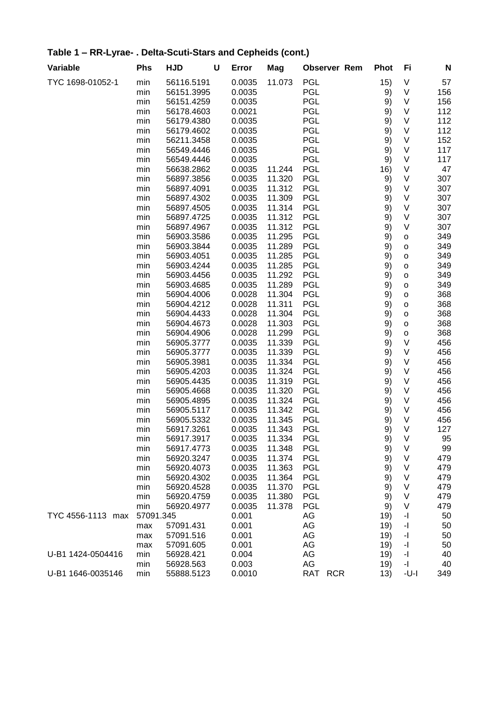#### **Variable Phs HJD U Error Mag Observer Rem Phot Fi N** TYC 1698-01052-1 min 56116.5191 0.0035 11.073 PGL 15) V 57 min 56151.3995 0.0035 PGL 9) V 156 min 56151.4259 0.0035 PGL 9) V 156 min 56178.4603 0.0021 PGL 9) V 112 min 56179.4380 0.0035 PGL 9) V 112 min 56179.4602 0.0035 PGL 9) V 112 min 56211.3458 0.0035 PGL 9) V 152 min 56549.4446 0.0035 PGL 9) V 117 min 56549.4446 0.0035 PGL 9) V 117 min 56638.2862 0.0035 11.244 PGL 16) V 47 min 56897.3856 0.0035 11.320 PGL 9) V 307 min 56897.4091 0.0035 11.312 PGL 9) V 307 min 56897.4302 0.0035 11.309 PGL 9) V 307 min 56897.4505 0.0035 11.314 PGL 9) V 307 min 56897.4725 0.0035 11.312 PGL 9) V 307 min 56897.4967 0.0035 11.312 PGL 9) V 307 min 56903.3586 0.0035 11.295 PGL 9) 0 349 min 56903.3844 0.0035 11.289 PGL 9) o 349 min 56903.4051 0.0035 11.285 PGL 9) o 349 min 56903.4244 0.0035 11.285 PGL 9) o 349 min 56903.4456 0.0035 11.292 PGL 9) o 349 min 56903.4685 0.0035 11.289 PGL 9) o 349 min 56904.4006 0.0028 11.304 PGL 9) 0 368 min 56904.4212 0.0028 11.311 PGL 9) 0 368 min 56904.4433 0.0028 11.304 PGL 9) 0 368 min 56904.4673 0.0028 11.303 PGL 9) o 368 min 56904.4906 0.0028 11.299 PGL 9) o 368 min 56905.3777 0.0035 11.339 PGL 9) V 456 min 56905.3777 0.0035 11.339 PGL 9) V 456 min 56905.3981 0.0035 11.334 PGL 9) V 456 min 56905.4203 0.0035 11.324 PGL 9) V 456 min 56905.4435 0.0035 11.319 PGL 9) V 456 min 56905.4668 0.0035 11.320 PGL 9) V 456 min 56905.4895 0.0035 11.324 PGL 9) V 456 min 56905.5117 0.0035 11.342 PGL 9) V 456 min 56905.5332 0.0035 11.345 PGL 9) V 456 min 56917.3261 0.0035 11.343 PGL 9) V 127 min 56917.3917 0.0035 11.334 PGL 9) V 95 min 56917.4773 0.0035 11.348 PGL 9) V 99 min 56920.3247 0.0035 11.374 PGL 9) V 479 min 56920.4073 0.0035 11.363 PGL 9) V 479 min 56920.4302 0.0035 11.364 PGL 9) V 479 min 56920.4528 0.0035 11.370 PGL 9) V 479 min 56920.4759 0.0035 11.380 PGL 9) V 479 min 56920.4977 0.0035 11.378 PGL 9) V 479 TYC 4556-1113 max 57091.345 0.001 AG 19) -I 50 max 57091.431 0.001 AG 19) -I 50 max 57091.516 0.001 AG 19) -I 50 max 57091.605 0.001 AG 19) -I 50

U-B1 1424-0504416 min 56928.421 0.004 AG 19) -I 40

U-B1 1646-0035146 min 55888.5123 0.0010 RAT RCR 13) -U-I 349

min 56928.563 0.003 AG 19) -I 40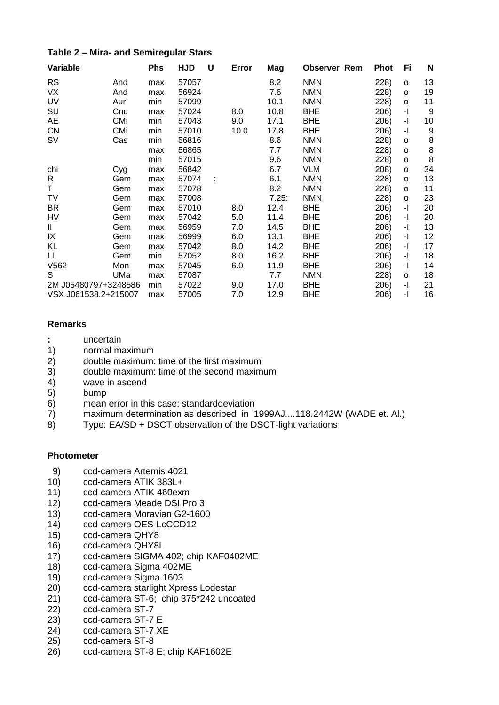#### Table 2 - Mira- and Semiregular Stars

| Variable             |            | <b>Phs</b> | <b>HJD</b> | U | Error | Mag   | <b>Observer Rem</b> | Phot | Fi           | N  |
|----------------------|------------|------------|------------|---|-------|-------|---------------------|------|--------------|----|
| <b>RS</b>            | And        | max        | 57057      |   |       | 8.2   | <b>NMN</b>          | 228) | $\circ$      | 13 |
| VX                   | And        | max        | 56924      |   |       | 7.6   | <b>NMN</b>          | 228) | O            | 19 |
| UV                   | Aur        | min        | 57099      |   |       | 10.1  | <b>NMN</b>          | 228) | O            | 11 |
| SU                   | Cnc        | max        | 57024      |   | 8.0   | 10.8  | <b>BHE</b>          | 206) | $-1$         | 9  |
| AE                   | CMi        | min        | 57043      |   | 9.0   | 17.1  | <b>BHE</b>          | 206) | -1           | 10 |
| <b>CN</b>            | <b>CMi</b> | min        | 57010      |   | 10.0  | 17.8  | <b>BHE</b>          | 206) | $-1$         | 9  |
| <b>SV</b>            | Cas        | min        | 56816      |   |       | 8.6   | <b>NMN</b>          | 228) | o            | 8  |
|                      |            | max        | 56865      |   |       | 7.7   | <b>NMN</b>          | 228) | $\circ$      | 8  |
|                      |            | min        | 57015      |   |       | 9.6   | <b>NMN</b>          | 228) | o            | 8  |
| chi                  | Cyg        | max        | 56842      |   |       | 6.7   | <b>VLM</b>          | 208) | O            | 34 |
| R                    | Gem        | max        | 57074      |   |       | 6.1   | <b>NMN</b>          | 228) | 0            | 13 |
| Τ                    | Gem        | max        | 57078      |   |       | 8.2   | <b>NMN</b>          | 228) | O            | 11 |
| TV                   | Gem        | max        | 57008      |   |       | 7.25: | <b>NMN</b>          | 228) | O            | 23 |
| <b>BR</b>            | Gem        | max        | 57010      |   | 8.0   | 12.4  | <b>BHE</b>          | 206) | $-1$         | 20 |
| HV                   | Gem        | max        | 57042      |   | 5.0   | 11.4  | <b>BHE</b>          | 206) | -1           | 20 |
| Ш                    | Gem        | max        | 56959      |   | 7.0   | 14.5  | <b>BHE</b>          | 206) | $-1$         | 13 |
| IX                   | Gem        | max        | 56999      |   | 6.0   | 13.1  | <b>BHE</b>          | 206) | -1           | 12 |
| KL                   | Gem        | max        | 57042      |   | 8.0   | 14.2  | <b>BHE</b>          | 206) | $\mathbf{-}$ | 17 |
| LL                   | Gem        | min        | 57052      |   | 8.0   | 16.2  | <b>BHE</b>          | 206) | -1           | 18 |
| V562                 | Mon        | max        | 57045      |   | 6.0   | 11.9  | <b>BHE</b>          | 206) | $-1$         | 14 |
| S                    | UMa        | max        | 57087      |   |       | 7.7   | <b>NMN</b>          | 228) | o            | 18 |
| 2M J05480797+3248586 |            | min        | 57022      |   | 9.0   | 17.0  | <b>BHE</b>          | 206) | $-1$         | 21 |
| VSX J061538.2+215007 |            | max        | 57005      |   | 7.0   | 12.9  | <b>BHE</b>          | 206) | -1           | 16 |

#### **Remarks**

- $\mathbb{R}^{\mathbb{Z}}$ uncertain
- $1)$ normal maximum
- $2)$ double maximum: time of the first maximum
- double maximum: time of the second maximum  $3)$
- $\overline{4}$ wave in ascend
- $5)$ bump
- mean error in this case: standarddeviation  $6)$
- maximum determination as described in 1999AJ....118.2442W (WADE et. Al.)  $7)$
- Type: EA/SD + DSCT observation of the DSCT-light variations  $8)$

#### **Photometer**

- $9)$ ccd-camera Artemis 4021
- $10)$ ccd-camera ATIK 383L+
- $11)$ ccd-camera ATIK 460exm
- $12)$ ccd-camera Meade DSI Pro 3
- $13)$ ccd-camera Moravian G2-1600
- $14)$ ccd-camera OES-LcCCD12
- $15)$ ccd-camera QHY8
- $16)$ ccd-camera QHY8L
- $17)$ ccd-camera SIGMA 402; chip KAF0402ME
- $18)$ ccd-camera Sigma 402ME
- $19)$ ccd-camera Sigma 1603
- $20)$ ccd-camera starlight Xpress Lodestar
- $21)$ ccd-camera ST-6; chip 375\*242 uncoated
- $22)$ ccd-camera ST-7
- ccd-camera ST-7 E  $23)$
- $24)$ ccd-camera ST-7 XE
- $25)$ ccd-camera ST-8
- ccd-camera ST-8 E; chip KAF1602E 26)